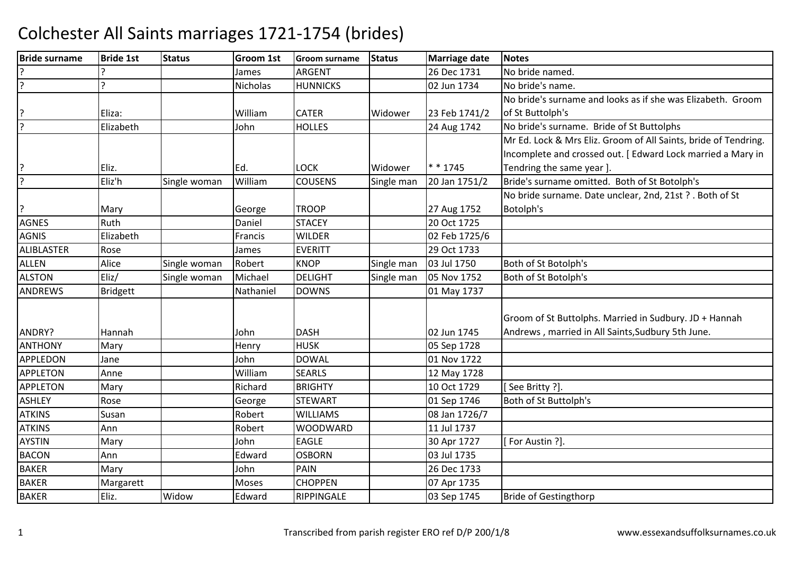| <b>Bride surname</b> | <b>Bride 1st</b> | <b>Status</b> | <b>Groom 1st</b> | <b>Groom surname</b> | <b>Status</b> | <b>Marriage date</b> | <b>Notes</b>                                                    |
|----------------------|------------------|---------------|------------------|----------------------|---------------|----------------------|-----------------------------------------------------------------|
|                      |                  |               | James            | <b>ARGENT</b>        |               | 26 Dec 1731          | No bride named.                                                 |
| ?                    | C                |               | <b>Nicholas</b>  | <b>HUNNICKS</b>      |               | 02 Jun 1734          | No bride's name.                                                |
|                      |                  |               |                  |                      |               |                      | No bride's surname and looks as if she was Elizabeth. Groom     |
|                      | Eliza:           |               | William          | <b>CATER</b>         | Widower       | 23 Feb 1741/2        | of St Buttolph's                                                |
| $\overline{?}$       | Elizabeth        |               | John             | <b>HOLLES</b>        |               | 24 Aug 1742          | No bride's surname. Bride of St Buttolphs                       |
|                      |                  |               |                  |                      |               |                      | Mr Ed. Lock & Mrs Eliz. Groom of All Saints, bride of Tendring. |
|                      |                  |               |                  |                      |               |                      | Incomplete and crossed out. [Edward Lock married a Mary in      |
| ?                    | Eliz.            |               | Ed.              | <b>LOCK</b>          | Widower       | $* * 1745$           | Tendring the same year ].                                       |
| ?                    | Eliz'h           | Single woman  | William          | <b>COUSENS</b>       | Single man    | 20 Jan 1751/2        | Bride's surname omitted. Both of St Botolph's                   |
|                      |                  |               |                  |                      |               |                      | No bride surname. Date unclear, 2nd, 21st ? . Both of St        |
| ?                    | Mary             |               | George           | <b>TROOP</b>         |               | 27 Aug 1752          | Botolph's                                                       |
| <b>AGNES</b>         | Ruth             |               | Daniel           | <b>STACEY</b>        |               | 20 Oct 1725          |                                                                 |
| <b>AGNIS</b>         | Elizabeth        |               | Francis          | <b>WILDER</b>        |               | 02 Feb 1725/6        |                                                                 |
| <b>ALIBLASTER</b>    | Rose             |               | James            | <b>EVERITT</b>       |               | 29 Oct 1733          |                                                                 |
| <b>ALLEN</b>         | Alice            | Single woman  | Robert           | <b>KNOP</b>          | Single man    | 03 Jul 1750          | Both of St Botolph's                                            |
| <b>ALSTON</b>        | $E$ liz/         | Single woman  | Michael          | <b>DELIGHT</b>       | Single man    | 05 Nov 1752          | Both of St Botolph's                                            |
| <b>ANDREWS</b>       | <b>Bridgett</b>  |               | Nathaniel        | <b>DOWNS</b>         |               | 01 May 1737          |                                                                 |
|                      |                  |               |                  |                      |               |                      |                                                                 |
|                      |                  |               |                  |                      |               |                      | Groom of St Buttolphs. Married in Sudbury. JD + Hannah          |
| ANDRY?               | Hannah           |               | John             | <b>DASH</b>          |               | 02 Jun 1745          | Andrews, married in All Saints, Sudbury 5th June.               |
| <b>ANTHONY</b>       | Mary             |               | Henry            | <b>HUSK</b>          |               | 05 Sep 1728          |                                                                 |
| <b>APPLEDON</b>      | Jane             |               | John             | <b>DOWAL</b>         |               | 01 Nov 1722          |                                                                 |
| <b>APPLETON</b>      | Anne             |               | William          | <b>SEARLS</b>        |               | 12 May 1728          |                                                                 |
| <b>APPLETON</b>      | Mary             |               | Richard          | <b>BRIGHTY</b>       |               | 10 Oct 1729          | See Britty ?].                                                  |
| <b>ASHLEY</b>        | Rose             |               | George           | <b>STEWART</b>       |               | 01 Sep 1746          | Both of St Buttolph's                                           |
| <b>ATKINS</b>        | Susan            |               | Robert           | <b>WILLIAMS</b>      |               | 08 Jan 1726/7        |                                                                 |
| <b>ATKINS</b>        | Ann              |               | Robert           | <b>WOODWARD</b>      |               | 11 Jul 1737          |                                                                 |
| <b>AYSTIN</b>        | Mary             |               | John             | <b>EAGLE</b>         |               | 30 Apr 1727          | [For Austin ?].                                                 |
| <b>BACON</b>         | Ann              |               | Edward           | <b>OSBORN</b>        |               | 03 Jul 1735          |                                                                 |
| <b>BAKER</b>         | Mary             |               | John             | PAIN                 |               | 26 Dec 1733          |                                                                 |
| <b>BAKER</b>         | Margarett        |               | Moses            | <b>CHOPPEN</b>       |               | 07 Apr 1735          |                                                                 |
| <b>BAKER</b>         | Eliz.            | Widow         | Edward           | RIPPINGALE           |               | 03 Sep 1745          | <b>Bride of Gestingthorp</b>                                    |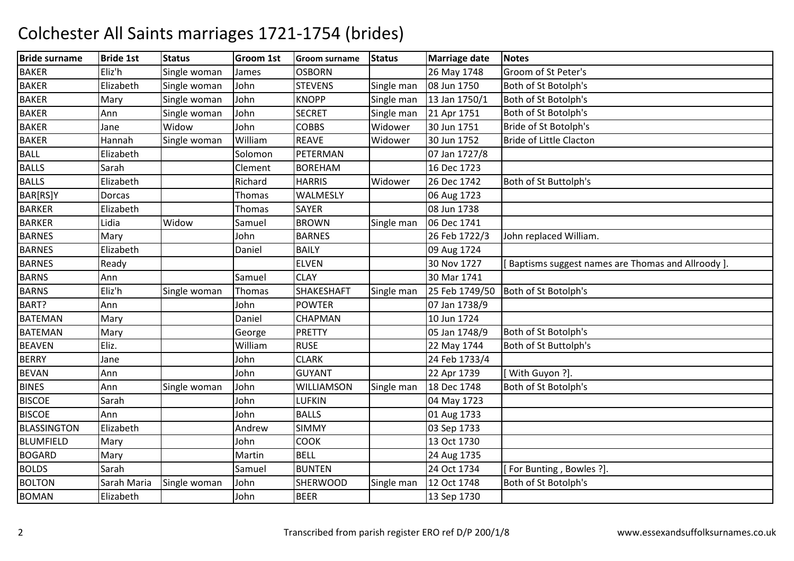| <b>Bride surname</b> | <b>Bride 1st</b> | <b>Status</b> | Groom 1st | <b>Groom surname</b> | <b>Status</b> | <b>Marriage date</b> | <b>Notes</b>                                      |
|----------------------|------------------|---------------|-----------|----------------------|---------------|----------------------|---------------------------------------------------|
| <b>BAKER</b>         | Eliz'h           | Single woman  | James     | <b>OSBORN</b>        |               | 26 May 1748          | Groom of St Peter's                               |
| <b>BAKER</b>         | Elizabeth        | Single woman  | John      | <b>STEVENS</b>       | Single man    | 08 Jun 1750          | Both of St Botolph's                              |
| <b>BAKER</b>         | Mary             | Single woman  | John      | <b>KNOPP</b>         | Single man    | 13 Jan 1750/1        | Both of St Botolph's                              |
| <b>BAKER</b>         | Ann              | Single woman  | John      | <b>SECRET</b>        | Single man    | 21 Apr 1751          | Both of St Botolph's                              |
| <b>BAKER</b>         | Jane             | Widow         | John      | <b>COBBS</b>         | Widower       | 30 Jun 1751          | Bride of St Botolph's                             |
| <b>BAKER</b>         | Hannah           | Single woman  | William   | <b>REAVE</b>         | Widower       | 30 Jun 1752          | <b>Bride of Little Clacton</b>                    |
| <b>BALL</b>          | Elizabeth        |               | Solomon   | PETERMAN             |               | 07 Jan 1727/8        |                                                   |
| <b>BALLS</b>         | Sarah            |               | Clement   | <b>BOREHAM</b>       |               | 16 Dec 1723          |                                                   |
| <b>BALLS</b>         | Elizabeth        |               | Richard   | <b>HARRIS</b>        | Widower       | 26 Dec 1742          | Both of St Buttolph's                             |
| BAR[RS]Y             | Dorcas           |               | Thomas    | WALMESLY             |               | 06 Aug 1723          |                                                   |
| <b>BARKER</b>        | Elizabeth        |               | Thomas    | <b>SAYER</b>         |               | 08 Jun 1738          |                                                   |
| <b>BARKER</b>        | Lidia            | Widow         | Samuel    | <b>BROWN</b>         | Single man    | 06 Dec 1741          |                                                   |
| <b>BARNES</b>        | Mary             |               | John      | <b>BARNES</b>        |               | 26 Feb 1722/3        | John replaced William.                            |
| <b>BARNES</b>        | Elizabeth        |               | Daniel    | <b>BAILY</b>         |               | 09 Aug 1724          |                                                   |
| <b>BARNES</b>        | Ready            |               |           | <b>ELVEN</b>         |               | 30 Nov 1727          | Baptisms suggest names are Thomas and Allroody ]. |
| <b>BARNS</b>         | Ann              |               | Samuel    | <b>CLAY</b>          |               | 30 Mar 1741          |                                                   |
| <b>BARNS</b>         | Eliz'h           | Single woman  | Thomas    | SHAKESHAFT           | Single man    | 25 Feb 1749/50       | Both of St Botolph's                              |
| BART?                | Ann              |               | John      | <b>POWTER</b>        |               | 07 Jan 1738/9        |                                                   |
| <b>BATEMAN</b>       | Mary             |               | Daniel    | CHAPMAN              |               | 10 Jun 1724          |                                                   |
| <b>BATEMAN</b>       | Mary             |               | George    | <b>PRETTY</b>        |               | 05 Jan 1748/9        | Both of St Botolph's                              |
| <b>BEAVEN</b>        | Eliz.            |               | William   | <b>RUSE</b>          |               | 22 May 1744          | Both of St Buttolph's                             |
| <b>BERRY</b>         | Jane             |               | John      | <b>CLARK</b>         |               | 24 Feb 1733/4        |                                                   |
| <b>BEVAN</b>         | Ann              |               | John      | <b>GUYANT</b>        |               | 22 Apr 1739          | [With Guyon ?].                                   |
| <b>BINES</b>         | Ann              | Single woman  | John      | <b>WILLIAMSON</b>    | Single man    | 18 Dec 1748          | Both of St Botolph's                              |
| <b>BISCOE</b>        | Sarah            |               | John      | <b>LUFKIN</b>        |               | 04 May 1723          |                                                   |
| <b>BISCOE</b>        | Ann              |               | John      | <b>BALLS</b>         |               | 01 Aug 1733          |                                                   |
| <b>BLASSINGTON</b>   | Elizabeth        |               | Andrew    | <b>SIMMY</b>         |               | 03 Sep 1733          |                                                   |
| <b>BLUMFIELD</b>     | Mary             |               | John      | <b>COOK</b>          |               | 13 Oct 1730          |                                                   |
| <b>BOGARD</b>        | Mary             |               | Martin    | <b>BELL</b>          |               | 24 Aug 1735          |                                                   |
| <b>BOLDS</b>         | Sarah            |               | Samuel    | <b>BUNTEN</b>        |               | 24 Oct 1734          | [For Bunting, Bowles ?].                          |
| <b>BOLTON</b>        | Sarah Maria      | Single woman  | John      | SHERWOOD             | Single man    | 12 Oct 1748          | Both of St Botolph's                              |
| <b>BOMAN</b>         | Elizabeth        |               | John      | <b>BEER</b>          |               | 13 Sep 1730          |                                                   |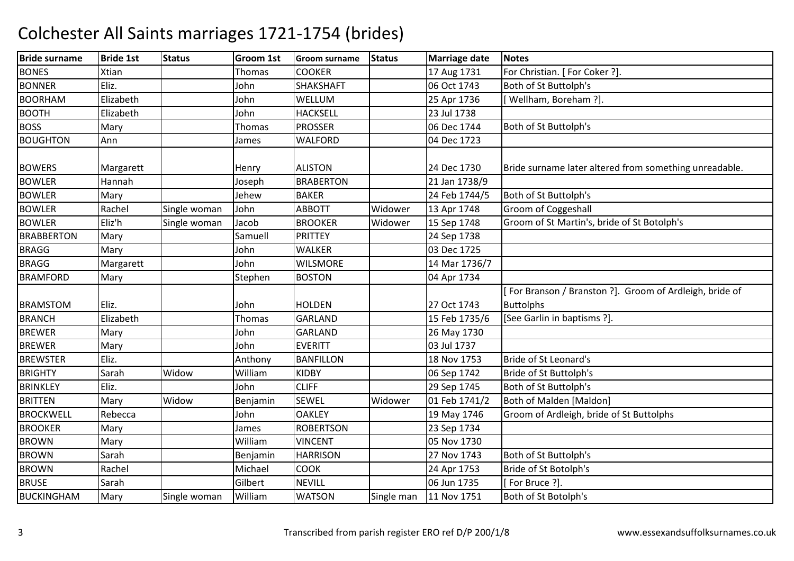| <b>Bride surname</b> | <b>Bride 1st</b> | <b>Status</b> | <b>Groom 1st</b> | <b>Groom surname</b> | <b>Status</b> | <b>Marriage date</b> | <b>Notes</b>                                           |
|----------------------|------------------|---------------|------------------|----------------------|---------------|----------------------|--------------------------------------------------------|
| <b>BONES</b>         | Xtian            |               | Thomas           | <b>COOKER</b>        |               | 17 Aug 1731          | For Christian. [ For Coker ?].                         |
| <b>BONNER</b>        | Eliz.            |               | John             | <b>SHAKSHAFT</b>     |               | 06 Oct 1743          | Both of St Buttolph's                                  |
| <b>BOORHAM</b>       | Elizabeth        |               | John             | WELLUM               |               | 25 Apr 1736          | Wellham, Boreham ?].                                   |
| <b>BOOTH</b>         | Elizabeth        |               | John             | <b>HACKSELL</b>      |               | 23 Jul 1738          |                                                        |
| <b>BOSS</b>          | Mary             |               | Thomas           | <b>PROSSER</b>       |               | 06 Dec 1744          | Both of St Buttolph's                                  |
| <b>BOUGHTON</b>      | Ann              |               | James            | <b>WALFORD</b>       |               | 04 Dec 1723          |                                                        |
|                      |                  |               |                  |                      |               |                      |                                                        |
| <b>BOWERS</b>        | Margarett        |               | Henry            | <b>ALISTON</b>       |               | 24 Dec 1730          | Bride surname later altered from something unreadable. |
| <b>BOWLER</b>        | Hannah           |               | Joseph           | <b>BRABERTON</b>     |               | 21 Jan 1738/9        |                                                        |
| <b>BOWLER</b>        | Mary             |               | Jehew            | <b>BAKER</b>         |               | 24 Feb 1744/5        | Both of St Buttolph's                                  |
| <b>BOWLER</b>        | Rachel           | Single woman  | John             | <b>ABBOTT</b>        | Widower       | 13 Apr 1748          | Groom of Coggeshall                                    |
| <b>BOWLER</b>        | Eliz'h           | Single woman  | Jacob            | <b>BROOKER</b>       | Widower       | 15 Sep 1748          | Groom of St Martin's, bride of St Botolph's            |
| <b>BRABBERTON</b>    | Mary             |               | Samuell          | <b>PRITTEY</b>       |               | 24 Sep 1738          |                                                        |
| <b>BRAGG</b>         | Mary             |               | John             | <b>WALKER</b>        |               | 03 Dec 1725          |                                                        |
| <b>BRAGG</b>         | Margarett        |               | John             | <b>WILSMORE</b>      |               | 14 Mar 1736/7        |                                                        |
| <b>BRAMFORD</b>      | Mary             |               | Stephen          | <b>BOSTON</b>        |               | 04 Apr 1734          |                                                        |
|                      |                  |               |                  |                      |               |                      | For Branson / Branston ?]. Groom of Ardleigh, bride of |
| <b>BRAMSTOM</b>      | Eliz.            |               | John             | <b>HOLDEN</b>        |               | 27 Oct 1743          | <b>Buttolphs</b>                                       |
| <b>BRANCH</b>        | Elizabeth        |               | Thomas           | <b>GARLAND</b>       |               | 15 Feb 1735/6        | [See Garlin in baptisms ?].                            |
| <b>BREWER</b>        | Mary             |               | John             | GARLAND              |               | 26 May 1730          |                                                        |
| <b>BREWER</b>        | Mary             |               | John             | <b>EVERITT</b>       |               | 03 Jul 1737          |                                                        |
| <b>BREWSTER</b>      | Eliz.            |               | Anthony          | <b>BANFILLON</b>     |               | 18 Nov 1753          | Bride of St Leonard's                                  |
| <b>BRIGHTY</b>       | Sarah            | Widow         | William          | <b>KIDBY</b>         |               | 06 Sep 1742          | <b>Bride of St Buttolph's</b>                          |
| <b>BRINKLEY</b>      | Eliz.            |               | John             | <b>CLIFF</b>         |               | 29 Sep 1745          | Both of St Buttolph's                                  |
| <b>BRITTEN</b>       | Mary             | Widow         | Benjamin         | <b>SEWEL</b>         | Widower       | 01 Feb 1741/2        | Both of Malden [Maldon]                                |
| <b>BROCKWELL</b>     | Rebecca          |               | John             | <b>OAKLEY</b>        |               | 19 May 1746          | Groom of Ardleigh, bride of St Buttolphs               |
| <b>BROOKER</b>       | Mary             |               | James            | <b>ROBERTSON</b>     |               | 23 Sep 1734          |                                                        |
| <b>BROWN</b>         | Mary             |               | William          | <b>VINCENT</b>       |               | 05 Nov 1730          |                                                        |
| <b>BROWN</b>         | Sarah            |               | Benjamin         | <b>HARRISON</b>      |               | 27 Nov 1743          | Both of St Buttolph's                                  |
| <b>BROWN</b>         | Rachel           |               | Michael          | <b>COOK</b>          |               | 24 Apr 1753          | Bride of St Botolph's                                  |
| <b>BRUSE</b>         | Sarah            |               | Gilbert          | <b>NEVILL</b>        |               | 06 Jun 1735          | [For Bruce ?].                                         |
| <b>BUCKINGHAM</b>    | Mary             | Single woman  | William          | <b>WATSON</b>        | Single man    | 11 Nov 1751          | Both of St Botolph's                                   |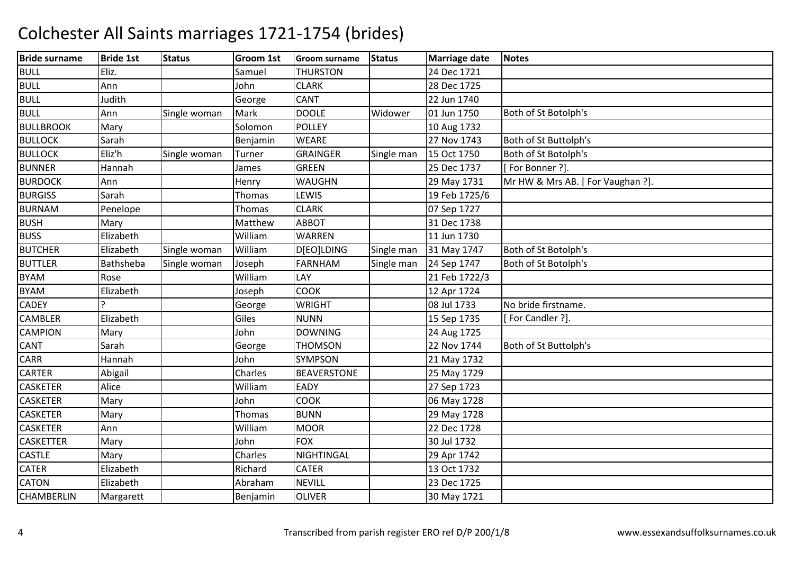| <b>Bride surname</b> | <b>Bride 1st</b> | <b>Status</b> | Groom 1st | <b>Groom surname</b> | <b>Status</b> | <b>Marriage date</b> | <b>Notes</b>                     |
|----------------------|------------------|---------------|-----------|----------------------|---------------|----------------------|----------------------------------|
| <b>BULL</b>          | Eliz.            |               | Samuel    | <b>THURSTON</b>      |               | 24 Dec 1721          |                                  |
| <b>BULL</b>          | Ann              |               | John      | <b>CLARK</b>         |               | 28 Dec 1725          |                                  |
| <b>BULL</b>          | Judith           |               | George    | <b>CANT</b>          |               | 22 Jun 1740          |                                  |
| <b>BULL</b>          | Ann              | Single woman  | Mark      | <b>DOOLE</b>         | Widower       | 01 Jun 1750          | Both of St Botolph's             |
| <b>BULLBROOK</b>     | Mary             |               | Solomon   | <b>POLLEY</b>        |               | 10 Aug 1732          |                                  |
| <b>BULLOCK</b>       | Sarah            |               | Benjamin  | <b>WEARE</b>         |               | 27 Nov 1743          | Both of St Buttolph's            |
| <b>BULLOCK</b>       | Eliz'h           | Single woman  | Turner    | <b>GRAINGER</b>      | Single man    | 15 Oct 1750          | Both of St Botolph's             |
| <b>BUNNER</b>        | Hannah           |               | James     | <b>GREEN</b>         |               | 25 Dec 1737          | For Bonner ?].                   |
| <b>BURDOCK</b>       | Ann              |               | Henry     | <b>WAUGHN</b>        |               | 29 May 1731          | Mr HW & Mrs AB. [For Vaughan ?]. |
| <b>BURGISS</b>       | Sarah            |               | Thomas    | LEWIS                |               | 19 Feb 1725/6        |                                  |
| <b>BURNAM</b>        | Penelope         |               | Thomas    | <b>CLARK</b>         |               | 07 Sep 1727          |                                  |
| <b>BUSH</b>          | Mary             |               | Matthew   | <b>ABBOT</b>         |               | 31 Dec 1738          |                                  |
| <b>BUSS</b>          | Elizabeth        |               | William   | <b>WARREN</b>        |               | 11 Jun 1730          |                                  |
| <b>BUTCHER</b>       | Elizabeth        | Single woman  | William   | D[EO]LDING           | Single man    | 31 May 1747          | Both of St Botolph's             |
| <b>BUTTLER</b>       | Bathsheba        | Single woman  | Joseph    | <b>FARNHAM</b>       | Single man    | 24 Sep 1747          | Both of St Botolph's             |
| <b>BYAM</b>          | Rose             |               | William   | LAY                  |               | 21 Feb 1722/3        |                                  |
| <b>BYAM</b>          | Elizabeth        |               | Joseph    | <b>COOK</b>          |               | 12 Apr 1724          |                                  |
| <b>CADEY</b>         |                  |               | George    | <b>WRIGHT</b>        |               | 08 Jul 1733          | No bride firstname.              |
| <b>CAMBLER</b>       | Elizabeth        |               | Giles     | <b>NUNN</b>          |               | 15 Sep 1735          | [For Candler ?].                 |
| <b>CAMPION</b>       | Mary             |               | John      | <b>DOWNING</b>       |               | 24 Aug 1725          |                                  |
| <b>CANT</b>          | Sarah            |               | George    | <b>THOMSON</b>       |               | 22 Nov 1744          | Both of St Buttolph's            |
| <b>CARR</b>          | Hannah           |               | John      | SYMPSON              |               | 21 May 1732          |                                  |
| <b>CARTER</b>        | Abigail          |               | Charles   | <b>BEAVERSTONE</b>   |               | 25 May 1729          |                                  |
| <b>CASKETER</b>      | Alice            |               | William   | EADY                 |               | 27 Sep 1723          |                                  |
| <b>CASKETER</b>      | Mary             |               | John      | <b>COOK</b>          |               | 06 May 1728          |                                  |
| <b>CASKETER</b>      | Mary             |               | Thomas    | <b>BUNN</b>          |               | 29 May 1728          |                                  |
| <b>CASKETER</b>      | Ann              |               | William   | <b>MOOR</b>          |               | 22 Dec 1728          |                                  |
| <b>CASKETTER</b>     | Mary             |               | John      | <b>FOX</b>           |               | 30 Jul 1732          |                                  |
| <b>CASTLE</b>        | Mary             |               | Charles   | NIGHTINGAL           |               | 29 Apr 1742          |                                  |
| <b>CATER</b>         | Elizabeth        |               | Richard   | <b>CATER</b>         |               | 13 Oct 1732          |                                  |
| <b>CATON</b>         | Elizabeth        |               | Abraham   | <b>NEVILL</b>        |               | 23 Dec 1725          |                                  |
| <b>CHAMBERLIN</b>    | Margarett        |               | Benjamin  | <b>OLIVER</b>        |               | 30 May 1721          |                                  |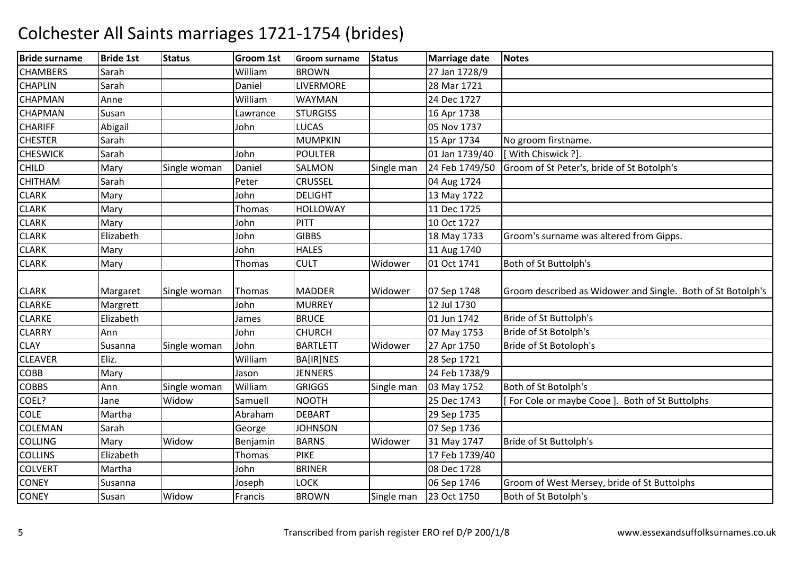| <b>Bride surname</b> | <b>Bride 1st</b> | <b>Status</b> | <b>Groom 1st</b> | <b>Groom surname</b> | <b>Status</b> | <b>Marriage date</b> | <b>Notes</b>                                                |
|----------------------|------------------|---------------|------------------|----------------------|---------------|----------------------|-------------------------------------------------------------|
| <b>CHAMBERS</b>      | Sarah            |               | William          | <b>BROWN</b>         |               | 27 Jan 1728/9        |                                                             |
| <b>CHAPLIN</b>       | Sarah            |               | Daniel           | <b>LIVERMORE</b>     |               | 28 Mar 1721          |                                                             |
| <b>CHAPMAN</b>       | Anne             |               | William          | <b>WAYMAN</b>        |               | 24 Dec 1727          |                                                             |
| <b>CHAPMAN</b>       | Susan            |               | Lawrance         | <b>STURGISS</b>      |               | 16 Apr 1738          |                                                             |
| <b>CHARIFF</b>       | Abigail          |               | John             | LUCAS                |               | 05 Nov 1737          |                                                             |
| <b>CHESTER</b>       | Sarah            |               |                  | <b>MUMPKIN</b>       |               | 15 Apr 1734          | No groom firstname.                                         |
| <b>CHESWICK</b>      | Sarah            |               | John             | <b>POULTER</b>       |               | 01 Jan 1739/40       | [With Chiswick ?].                                          |
| <b>CHILD</b>         | Mary             | Single woman  | Daniel           | SALMON               | Single man    | 24 Feb 1749/50       | Groom of St Peter's, bride of St Botolph's                  |
| <b>CHITHAM</b>       | Sarah            |               | Peter            | <b>CRUSSEL</b>       |               | 04 Aug 1724          |                                                             |
| <b>CLARK</b>         | Mary             |               | John             | <b>DELIGHT</b>       |               | 13 May 1722          |                                                             |
| <b>CLARK</b>         | Mary             |               | Thomas           | <b>HOLLOWAY</b>      |               | 11 Dec 1725          |                                                             |
| <b>CLARK</b>         | Mary             |               | John             | PITT                 |               | 10 Oct 1727          |                                                             |
| <b>CLARK</b>         | Elizabeth        |               | John             | <b>GIBBS</b>         |               | 18 May 1733          | Groom's surname was altered from Gipps.                     |
| <b>CLARK</b>         | Mary             |               | John             | <b>HALES</b>         |               | 11 Aug 1740          |                                                             |
| <b>CLARK</b>         | Mary             |               | Thomas           | <b>CULT</b>          | Widower       | 01 Oct 1741          | Both of St Buttolph's                                       |
| <b>CLARK</b>         | Margaret         | Single woman  | Thomas           | <b>MADDER</b>        | Widower       | 07 Sep 1748          | Groom described as Widower and Single. Both of St Botolph's |
| <b>CLARKE</b>        | Margrett         |               | John             | <b>MURREY</b>        |               | 12 Jul 1730          |                                                             |
| <b>CLARKE</b>        | Elizabeth        |               | James            | <b>BRUCE</b>         |               | 01 Jun 1742          | Bride of St Buttolph's                                      |
| <b>CLARRY</b>        | Ann              |               | John             | <b>CHURCH</b>        |               | 07 May 1753          | Bride of St Botolph's                                       |
| <b>CLAY</b>          | Susanna          | Single woman  | John             | <b>BARTLETT</b>      | Widower       | 27 Apr 1750          | Bride of St Botoloph's                                      |
| <b>CLEAVER</b>       | Eliz.            |               | William          | <b>BA[IR]NES</b>     |               | 28 Sep 1721          |                                                             |
| <b>COBB</b>          | Mary             |               | Jason            | <b>JENNERS</b>       |               | 24 Feb 1738/9        |                                                             |
| <b>COBBS</b>         | Ann              | Single woman  | William          | <b>GRIGGS</b>        | Single man    | 03 May 1752          | Both of St Botolph's                                        |
| COEL?                | Jane             | Widow         | Samuell          | <b>NOOTH</b>         |               | 25 Dec 1743          | [For Cole or maybe Cooe]. Both of St Buttolphs              |
| <b>COLE</b>          | Martha           |               | Abraham          | <b>DEBART</b>        |               | 29 Sep 1735          |                                                             |
| <b>COLEMAN</b>       | Sarah            |               | George           | <b>JOHNSON</b>       |               | 07 Sep 1736          |                                                             |
| <b>COLLING</b>       | Mary             | Widow         | Benjamin         | <b>BARNS</b>         | Widower       | 31 May 1747          | Bride of St Buttolph's                                      |
| <b>COLLINS</b>       | Elizabeth        |               | <b>Thomas</b>    | <b>PIKE</b>          |               | 17 Feb 1739/40       |                                                             |
| <b>COLVERT</b>       | Martha           |               | John             | <b>BRINER</b>        |               | 08 Dec 1728          |                                                             |
| <b>CONEY</b>         | Susanna          |               | Joseph           | LOCK                 |               | 06 Sep 1746          | Groom of West Mersey, bride of St Buttolphs                 |
| <b>CONEY</b>         | Susan            | Widow         | Francis          | <b>BROWN</b>         | Single man    | 23 Oct 1750          | Both of St Botolph's                                        |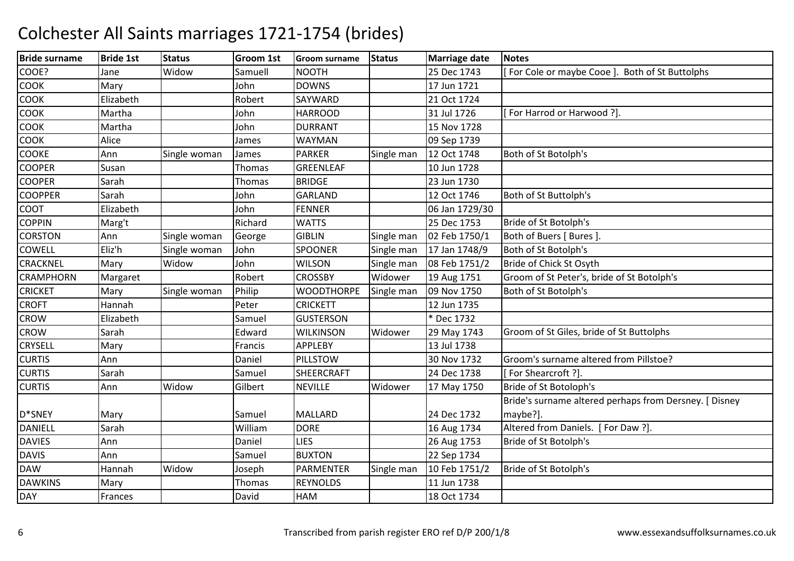| <b>Bride surname</b> | <b>Bride 1st</b> | <b>Status</b> | Groom 1st | <b>Groom surname</b> | <b>Status</b> | Marriage date  | <b>Notes</b>                                           |
|----------------------|------------------|---------------|-----------|----------------------|---------------|----------------|--------------------------------------------------------|
| COOE?                | Jane             | Widow         | Samuell   | <b>NOOTH</b>         |               | 25 Dec 1743    | For Cole or maybe Cooe ]. Both of St Buttolphs         |
| <b>COOK</b>          | Mary             |               | John      | <b>DOWNS</b>         |               | 17 Jun 1721    |                                                        |
| <b>COOK</b>          | Elizabeth        |               | Robert    | SAYWARD              |               | 21 Oct 1724    |                                                        |
| COOK                 | Martha           |               | John      | <b>HARROOD</b>       |               | 31 Jul 1726    | For Harrod or Harwood ?].                              |
| <b>COOK</b>          | Martha           |               | John      | <b>DURRANT</b>       |               | 15 Nov 1728    |                                                        |
| <b>COOK</b>          | Alice            |               | James     | <b>WAYMAN</b>        |               | 09 Sep 1739    |                                                        |
| <b>COOKE</b>         | Ann              | Single woman  | James     | <b>PARKER</b>        | Single man    | 12 Oct 1748    | Both of St Botolph's                                   |
| <b>COOPER</b>        | Susan            |               | Thomas    | GREENLEAF            |               | 10 Jun 1728    |                                                        |
| <b>COOPER</b>        | Sarah            |               | Thomas    | <b>BRIDGE</b>        |               | 23 Jun 1730    |                                                        |
| <b>COOPPER</b>       | Sarah            |               | John      | <b>GARLAND</b>       |               | 12 Oct 1746    | Both of St Buttolph's                                  |
| <b>COOT</b>          | Elizabeth        |               | John      | <b>FENNER</b>        |               | 06 Jan 1729/30 |                                                        |
| <b>COPPIN</b>        | Marg't           |               | Richard   | <b>WATTS</b>         |               | 25 Dec 1753    | Bride of St Botolph's                                  |
| <b>CORSTON</b>       | Ann              | Single woman  | George    | <b>GIBLIN</b>        | Single man    | 02 Feb 1750/1  | Both of Buers [ Bures ].                               |
| <b>COWELL</b>        | Eliz'h           | Single woman  | John      | <b>SPOONER</b>       | Single man    | 17 Jan 1748/9  | Both of St Botolph's                                   |
| <b>CRACKNEL</b>      | Mary             | Widow         | John      | <b>WILSON</b>        | Single man    | 08 Feb 1751/2  | Bride of Chick St Osyth                                |
| <b>CRAMPHORN</b>     | Margaret         |               | Robert    | <b>CROSSBY</b>       | Widower       | 19 Aug 1751    | Groom of St Peter's, bride of St Botolph's             |
| <b>CRICKET</b>       | Mary             | Single woman  | Philip    | <b>WOODTHORPE</b>    | Single man    | 09 Nov 1750    | Both of St Botolph's                                   |
| <b>CROFT</b>         | Hannah           |               | Peter     | <b>CRICKETT</b>      |               | 12 Jun 1735    |                                                        |
| <b>CROW</b>          | Elizabeth        |               | Samuel    | <b>GUSTERSON</b>     |               | * Dec 1732     |                                                        |
| <b>CROW</b>          | Sarah            |               | Edward    | <b>WILKINSON</b>     | Widower       | 29 May 1743    | Groom of St Giles, bride of St Buttolphs               |
| <b>CRYSELL</b>       | Mary             |               | Francis   | <b>APPLEBY</b>       |               | 13 Jul 1738    |                                                        |
| <b>CURTIS</b>        | Ann              |               | Daniel    | PILLSTOW             |               | 30 Nov 1732    | Groom's surname altered from Pillstoe?                 |
| <b>CURTIS</b>        | Sarah            |               | Samuel    | SHEERCRAFT           |               | 24 Dec 1738    | [For Shearcroft ?].                                    |
| <b>CURTIS</b>        | Ann              | Widow         | Gilbert   | <b>NEVILLE</b>       | Widower       | 17 May 1750    | Bride of St Botoloph's                                 |
|                      |                  |               |           |                      |               |                | Bride's surname altered perhaps from Dersney. [ Disney |
| D*SNEY               | Mary             |               | Samuel    | <b>MALLARD</b>       |               | 24 Dec 1732    | maybe?].                                               |
| <b>DANIELL</b>       | Sarah            |               | William   | <b>DORE</b>          |               | 16 Aug 1734    | Altered from Daniels. [For Daw ?].                     |
| <b>DAVIES</b>        | Ann              |               | Daniel    | <b>LIES</b>          |               | 26 Aug 1753    | Bride of St Botolph's                                  |
| <b>DAVIS</b>         | Ann              |               | Samuel    | <b>BUXTON</b>        |               | 22 Sep 1734    |                                                        |
| <b>DAW</b>           | Hannah           | Widow         | Joseph    | <b>PARMENTER</b>     | Single man    | 10 Feb 1751/2  | Bride of St Botolph's                                  |
| <b>DAWKINS</b>       | Mary             |               | Thomas    | <b>REYNOLDS</b>      |               | 11 Jun 1738    |                                                        |
| <b>DAY</b>           | Frances          |               | David     | <b>HAM</b>           |               | 18 Oct 1734    |                                                        |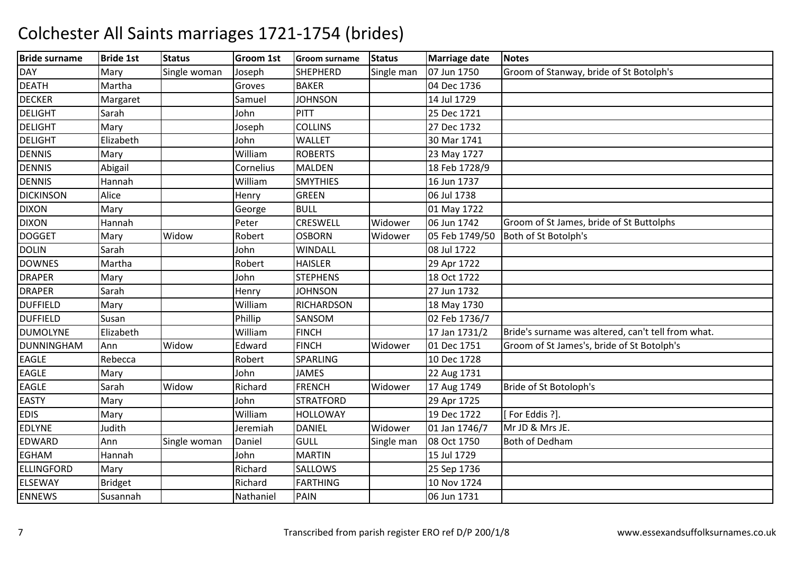| <b>Bride surname</b> | <b>Bride 1st</b> | <b>Status</b> | <b>Groom 1st</b> | <b>Groom surname</b> | <b>Status</b> | <b>Marriage date</b> | <b>Notes</b>                                       |
|----------------------|------------------|---------------|------------------|----------------------|---------------|----------------------|----------------------------------------------------|
| <b>DAY</b>           | Mary             | Single woman  | Joseph           | <b>SHEPHERD</b>      | Single man    | 07 Jun 1750          | Groom of Stanway, bride of St Botolph's            |
| <b>DEATH</b>         | Martha           |               | Groves           | <b>BAKER</b>         |               | 04 Dec 1736          |                                                    |
| <b>DECKER</b>        | Margaret         |               | Samuel           | <b>JOHNSON</b>       |               | 14 Jul 1729          |                                                    |
| <b>DELIGHT</b>       | Sarah            |               | John             | <b>PITT</b>          |               | 25 Dec 1721          |                                                    |
| <b>DELIGHT</b>       | Mary             |               | Joseph           | <b>COLLINS</b>       |               | 27 Dec 1732          |                                                    |
| <b>DELIGHT</b>       | Elizabeth        |               | John             | <b>WALLET</b>        |               | 30 Mar 1741          |                                                    |
| <b>DENNIS</b>        | Mary             |               | William          | <b>ROBERTS</b>       |               | 23 May 1727          |                                                    |
| <b>DENNIS</b>        | Abigail          |               | Cornelius        | <b>MALDEN</b>        |               | 18 Feb 1728/9        |                                                    |
| <b>DENNIS</b>        | Hannah           |               | William          | <b>SMYTHIES</b>      |               | 16 Jun 1737          |                                                    |
| <b>DICKINSON</b>     | Alice            |               | Henry            | <b>GREEN</b>         |               | 06 Jul 1738          |                                                    |
| <b>DIXON</b>         | Mary             |               | George           | <b>BULL</b>          |               | 01 May 1722          |                                                    |
| <b>DIXON</b>         | Hannah           |               | Peter            | CRESWELL             | Widower       | 06 Jun 1742          | Groom of St James, bride of St Buttolphs           |
| <b>DOGGET</b>        | Mary             | Widow         | Robert           | <b>OSBORN</b>        | Widower       | 05 Feb 1749/50       | Both of St Botolph's                               |
| <b>DOLIN</b>         | Sarah            |               | John             | <b>WINDALL</b>       |               | 08 Jul 1722          |                                                    |
| <b>DOWNES</b>        | Martha           |               | Robert           | <b>HAISLER</b>       |               | 29 Apr 1722          |                                                    |
| <b>DRAPER</b>        | Mary             |               | John             | <b>STEPHENS</b>      |               | 18 Oct 1722          |                                                    |
| <b>DRAPER</b>        | Sarah            |               | Henry            | <b>JOHNSON</b>       |               | 27 Jun 1732          |                                                    |
| <b>DUFFIELD</b>      | Mary             |               | William          | <b>RICHARDSON</b>    |               | 18 May 1730          |                                                    |
| <b>DUFFIELD</b>      | Susan            |               | Phillip          | SANSOM               |               | 02 Feb 1736/7        |                                                    |
| <b>DUMOLYNE</b>      | Elizabeth        |               | William          | <b>FINCH</b>         |               | 17 Jan 1731/2        | Bride's surname was altered, can't tell from what. |
| <b>DUNNINGHAM</b>    | Ann              | Widow         | Edward           | <b>FINCH</b>         | Widower       | 01 Dec 1751          | Groom of St James's, bride of St Botolph's         |
| <b>EAGLE</b>         | Rebecca          |               | Robert           | SPARLING             |               | 10 Dec 1728          |                                                    |
| EAGLE                | Mary             |               | John             | <b>JAMES</b>         |               | 22 Aug 1731          |                                                    |
| <b>EAGLE</b>         | Sarah            | Widow         | Richard          | <b>FRENCH</b>        | Widower       | 17 Aug 1749          | Bride of St Botoloph's                             |
| <b>EASTY</b>         | Mary             |               | John             | <b>STRATFORD</b>     |               | 29 Apr 1725          |                                                    |
| <b>EDIS</b>          | Mary             |               | William          | <b>HOLLOWAY</b>      |               | 19 Dec 1722          | [For Eddis ?].                                     |
| <b>EDLYNE</b>        | Judith           |               | Jeremiah         | <b>DANIEL</b>        | Widower       | 01 Jan 1746/7        | Mr JD & Mrs JE.                                    |
| EDWARD               | Ann              | Single woman  | Daniel           | <b>GULL</b>          | Single man    | 08 Oct 1750          | <b>Both of Dedham</b>                              |
| <b>EGHAM</b>         | Hannah           |               | John             | <b>MARTIN</b>        |               | 15 Jul 1729          |                                                    |
| <b>ELLINGFORD</b>    | Mary             |               | Richard          | SALLOWS              |               | 25 Sep 1736          |                                                    |
| <b>ELSEWAY</b>       | <b>Bridget</b>   |               | Richard          | <b>FARTHING</b>      |               | 10 Nov 1724          |                                                    |
| <b>ENNEWS</b>        | Susannah         |               | Nathaniel        | PAIN                 |               | 06 Jun 1731          |                                                    |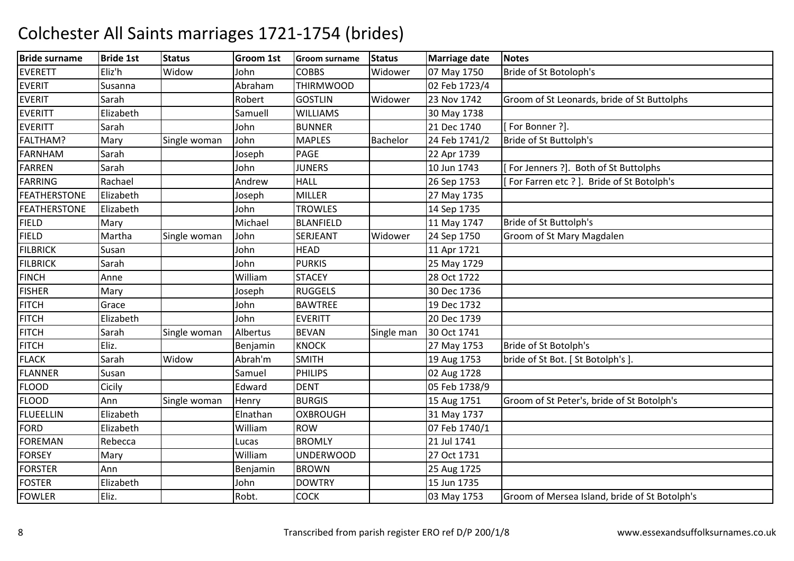| <b>Bride surname</b> | <b>Bride 1st</b> | <b>Status</b> | Groom 1st | <b>Groom surname</b> | <b>Status</b> | <b>Marriage date</b> | <b>Notes</b>                                  |
|----------------------|------------------|---------------|-----------|----------------------|---------------|----------------------|-----------------------------------------------|
| <b>EVERETT</b>       | Eliz'h           | Widow         | John      | <b>COBBS</b>         | Widower       | 07 May 1750          | Bride of St Botoloph's                        |
| <b>EVERIT</b>        | Susanna          |               | Abraham   | <b>THIRMWOOD</b>     |               | 02 Feb 1723/4        |                                               |
| <b>EVERIT</b>        | Sarah            |               | Robert    | <b>GOSTLIN</b>       | Widower       | 23 Nov 1742          | Groom of St Leonards, bride of St Buttolphs   |
| <b>EVERITT</b>       | Elizabeth        |               | Samuell   | <b>WILLIAMS</b>      |               | 30 May 1738          |                                               |
| <b>EVERITT</b>       | Sarah            |               | John      | <b>BUNNER</b>        |               | 21 Dec 1740          | [For Bonner ?].                               |
| FALTHAM?             | Mary             | Single woman  | John      | <b>MAPLES</b>        | Bachelor      | 24 Feb 1741/2        | Bride of St Buttolph's                        |
| <b>FARNHAM</b>       | Sarah            |               | Joseph    | PAGE                 |               | 22 Apr 1739          |                                               |
| <b>FARREN</b>        | Sarah            |               | John      | <b>JUNERS</b>        |               | 10 Jun 1743          | For Jenners ?]. Both of St Buttolphs          |
| <b>FARRING</b>       | Rachael          |               | Andrew    | <b>HALL</b>          |               | 26 Sep 1753          | [For Farren etc ?]. Bride of St Botolph's     |
| <b>FEATHERSTONE</b>  | Elizabeth        |               | Joseph    | <b>MILLER</b>        |               | 27 May 1735          |                                               |
| <b>FEATHERSTONE</b>  | Elizabeth        |               | John      | <b>TROWLES</b>       |               | 14 Sep 1735          |                                               |
| <b>FIELD</b>         | Mary             |               | Michael   | <b>BLANFIELD</b>     |               | 11 May 1747          | Bride of St Buttolph's                        |
| <b>FIELD</b>         | Martha           | Single woman  | John      | SERJEANT             | Widower       | 24 Sep 1750          | Groom of St Mary Magdalen                     |
| <b>FILBRICK</b>      | Susan            |               | John      | <b>HEAD</b>          |               | 11 Apr 1721          |                                               |
| <b>FILBRICK</b>      | Sarah            |               | John      | <b>PURKIS</b>        |               | 25 May 1729          |                                               |
| <b>FINCH</b>         | Anne             |               | William   | <b>STACEY</b>        |               | 28 Oct 1722          |                                               |
| <b>FISHER</b>        | Mary             |               | Joseph    | <b>RUGGELS</b>       |               | 30 Dec 1736          |                                               |
| <b>FITCH</b>         | Grace            |               | John      | <b>BAWTREE</b>       |               | 19 Dec 1732          |                                               |
| <b>FITCH</b>         | Elizabeth        |               | John      | <b>EVERITT</b>       |               | 20 Dec 1739          |                                               |
| <b>FITCH</b>         | Sarah            | Single woman  | Albertus  | <b>BEVAN</b>         | Single man    | 30 Oct 1741          |                                               |
| <b>FITCH</b>         | Eliz.            |               | Benjamin  | <b>KNOCK</b>         |               | 27 May 1753          | Bride of St Botolph's                         |
| <b>FLACK</b>         | Sarah            | Widow         | Abrah'm   | <b>SMITH</b>         |               | 19 Aug 1753          | bride of St Bot. [St Botolph's]               |
| <b>FLANNER</b>       | Susan            |               | Samuel    | <b>PHILIPS</b>       |               | 02 Aug 1728          |                                               |
| <b>FLOOD</b>         | Cicily           |               | Edward    | <b>DENT</b>          |               | 05 Feb 1738/9        |                                               |
| <b>FLOOD</b>         | Ann              | Single woman  | Henry     | <b>BURGIS</b>        |               | 15 Aug 1751          | Groom of St Peter's, bride of St Botolph's    |
| <b>FLUEELLIN</b>     | Elizabeth        |               | Elnathan  | <b>OXBROUGH</b>      |               | 31 May 1737          |                                               |
| FORD                 | Elizabeth        |               | William   | <b>ROW</b>           |               | 07 Feb 1740/1        |                                               |
| <b>FOREMAN</b>       | Rebecca          |               | Lucas     | <b>BROMLY</b>        |               | 21 Jul 1741          |                                               |
| <b>FORSEY</b>        | Mary             |               | William   | <b>UNDERWOOD</b>     |               | 27 Oct 1731          |                                               |
| <b>FORSTER</b>       | Ann              |               | Benjamin  | <b>BROWN</b>         |               | 25 Aug 1725          |                                               |
| <b>FOSTER</b>        | Elizabeth        |               | John      | <b>DOWTRY</b>        |               | 15 Jun 1735          |                                               |
| <b>FOWLER</b>        | Eliz.            |               | Robt.     | <b>COCK</b>          |               | 03 May 1753          | Groom of Mersea Island, bride of St Botolph's |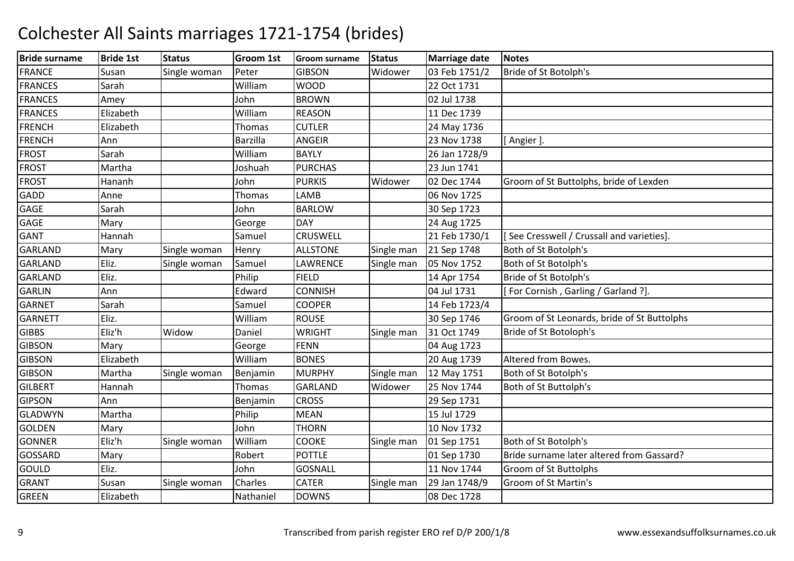| <b>Bride surname</b> | <b>Bride 1st</b> | <b>Status</b> | Groom 1st       | <b>Groom surname</b> | <b>Status</b> | <b>Marriage date</b> | <b>Notes</b>                                |
|----------------------|------------------|---------------|-----------------|----------------------|---------------|----------------------|---------------------------------------------|
| <b>FRANCE</b>        | Susan            | Single woman  | Peter           | <b>GIBSON</b>        | Widower       | 03 Feb 1751/2        | Bride of St Botolph's                       |
| <b>FRANCES</b>       | Sarah            |               | William         | <b>WOOD</b>          |               | 22 Oct 1731          |                                             |
| <b>FRANCES</b>       | Amey             |               | John            | <b>BROWN</b>         |               | 02 Jul 1738          |                                             |
| <b>FRANCES</b>       | Elizabeth        |               | William         | <b>REASON</b>        |               | 11 Dec 1739          |                                             |
| <b>FRENCH</b>        | Elizabeth        |               | Thomas          | <b>CUTLER</b>        |               | 24 May 1736          |                                             |
| <b>FRENCH</b>        | Ann              |               | <b>Barzilla</b> | ANGEIR               |               | 23 Nov 1738          | [Angier]                                    |
| <b>FROST</b>         | Sarah            |               | William         | <b>BAYLY</b>         |               | 26 Jan 1728/9        |                                             |
| <b>FROST</b>         | Martha           |               | Joshuah         | <b>PURCHAS</b>       |               | 23 Jun 1741          |                                             |
| <b>FROST</b>         | Hananh           |               | John            | <b>PURKIS</b>        | Widower       | 02 Dec 1744          | Groom of St Buttolphs, bride of Lexden      |
| <b>GADD</b>          | Anne             |               | Thomas          | LAMB                 |               | 06 Nov 1725          |                                             |
| <b>GAGE</b>          | Sarah            |               | John            | <b>BARLOW</b>        |               | 30 Sep 1723          |                                             |
| <b>GAGE</b>          | Mary             |               | George          | <b>DAY</b>           |               | 24 Aug 1725          |                                             |
| <b>GANT</b>          | Hannah           |               | Samuel          | <b>CRUSWELL</b>      |               | 21 Feb 1730/1        | [See Cresswell / Crussall and varieties].   |
| <b>GARLAND</b>       | Mary             | Single woman  | Henry           | <b>ALLSTONE</b>      | Single man    | 21 Sep 1748          | Both of St Botolph's                        |
| <b>GARLAND</b>       | Eliz.            | Single woman  | Samuel          | LAWRENCE             | Single man    | 05 Nov 1752          | Both of St Botolph's                        |
| <b>GARLAND</b>       | Eliz.            |               | Philip          | <b>FIELD</b>         |               | 14 Apr 1754          | Bride of St Botolph's                       |
| <b>GARLIN</b>        | Ann              |               | Edward          | <b>CONNISH</b>       |               | 04 Jul 1731          | [For Cornish, Garling / Garland ?].         |
| <b>GARNET</b>        | Sarah            |               | Samuel          | <b>COOPER</b>        |               | 14 Feb 1723/4        |                                             |
| <b>GARNETT</b>       | Eliz.            |               | William         | <b>ROUSE</b>         |               | 30 Sep 1746          | Groom of St Leonards, bride of St Buttolphs |
| <b>GIBBS</b>         | Eliz'h           | Widow         | Daniel          | <b>WRIGHT</b>        | Single man    | 31 Oct 1749          | Bride of St Botoloph's                      |
| <b>GIBSON</b>        | Mary             |               | George          | <b>FENN</b>          |               | 04 Aug 1723          |                                             |
| <b>GIBSON</b>        | Elizabeth        |               | William         | <b>BONES</b>         |               | 20 Aug 1739          | Altered from Bowes.                         |
| <b>GIBSON</b>        | Martha           | Single woman  | Benjamin        | <b>MURPHY</b>        | Single man    | 12 May 1751          | Both of St Botolph's                        |
| <b>GILBERT</b>       | Hannah           |               | <b>Thomas</b>   | <b>GARLAND</b>       | Widower       | 25 Nov 1744          | Both of St Buttolph's                       |
| <b>GIPSON</b>        | Ann              |               | Benjamin        | <b>CROSS</b>         |               | 29 Sep 1731          |                                             |
| <b>GLADWYN</b>       | Martha           |               | Philip          | <b>MEAN</b>          |               | 15 Jul 1729          |                                             |
| <b>GOLDEN</b>        | Mary             |               | John            | <b>THORN</b>         |               | 10 Nov 1732          |                                             |
| <b>GONNER</b>        | Eliz'h           | Single woman  | William         | <b>COOKE</b>         | Single man    | 01 Sep 1751          | Both of St Botolph's                        |
| <b>GOSSARD</b>       | Mary             |               | Robert          | <b>POTTLE</b>        |               | 01 Sep 1730          | Bride surname later altered from Gassard?   |
| <b>GOULD</b>         | Eliz.            |               | John            | <b>GOSNALL</b>       |               | 11 Nov 1744          | Groom of St Buttolphs                       |
| <b>GRANT</b>         | Susan            | Single woman  | Charles         | <b>CATER</b>         | Single man    | 29 Jan 1748/9        | Groom of St Martin's                        |
| <b>GREEN</b>         | Elizabeth        |               | Nathaniel       | <b>DOWNS</b>         |               | 08 Dec 1728          |                                             |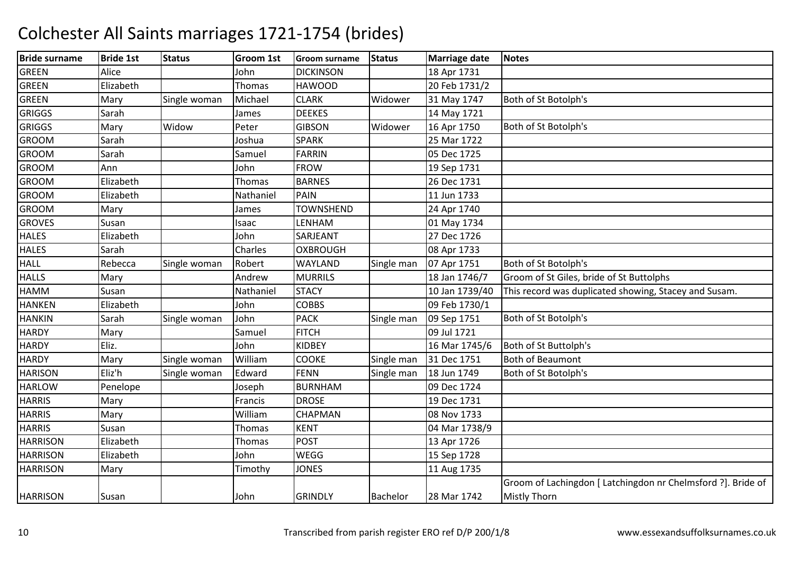| <b>Bride surname</b> | <b>Bride 1st</b> | <b>Status</b> | <b>Groom 1st</b> | <b>Groom surname</b> | <b>Status</b> | <b>Marriage date</b> | <b>Notes</b>                                                 |
|----------------------|------------------|---------------|------------------|----------------------|---------------|----------------------|--------------------------------------------------------------|
| <b>GREEN</b>         | Alice            |               | John             | <b>DICKINSON</b>     |               | 18 Apr 1731          |                                                              |
| <b>GREEN</b>         | Elizabeth        |               | Thomas           | <b>HAWOOD</b>        |               | 20 Feb 1731/2        |                                                              |
| <b>GREEN</b>         | Mary             | Single woman  | Michael          | <b>CLARK</b>         | Widower       | 31 May 1747          | Both of St Botolph's                                         |
| <b>GRIGGS</b>        | Sarah            |               | James            | <b>DEEKES</b>        |               | 14 May 1721          |                                                              |
| <b>GRIGGS</b>        | Mary             | Widow         | Peter            | <b>GIBSON</b>        | Widower       | 16 Apr 1750          | Both of St Botolph's                                         |
| <b>GROOM</b>         | Sarah            |               | Joshua           | <b>SPARK</b>         |               | 25 Mar 1722          |                                                              |
| <b>GROOM</b>         | Sarah            |               | Samuel           | FARRIN               |               | 05 Dec 1725          |                                                              |
| <b>GROOM</b>         | Ann              |               | John             | <b>FROW</b>          |               | 19 Sep 1731          |                                                              |
| <b>GROOM</b>         | Elizabeth        |               | Thomas           | <b>BARNES</b>        |               | 26 Dec 1731          |                                                              |
| <b>GROOM</b>         | Elizabeth        |               | Nathaniel        | <b>PAIN</b>          |               | 11 Jun 1733          |                                                              |
| <b>GROOM</b>         | Mary             |               | James            | <b>TOWNSHEND</b>     |               | 24 Apr 1740          |                                                              |
| <b>GROVES</b>        | Susan            |               | Isaac            | LENHAM               |               | 01 May 1734          |                                                              |
| <b>HALES</b>         | Elizabeth        |               | John             | SARJEANT             |               | 27 Dec 1726          |                                                              |
| <b>HALES</b>         | Sarah            |               | Charles          | <b>OXBROUGH</b>      |               | 08 Apr 1733          |                                                              |
| <b>HALL</b>          | Rebecca          | Single woman  | Robert           | WAYLAND              | Single man    | 07 Apr 1751          | Both of St Botolph's                                         |
| <b>HALLS</b>         | Mary             |               | Andrew           | <b>MURRILS</b>       |               | 18 Jan 1746/7        | Groom of St Giles, bride of St Buttolphs                     |
| <b>HAMM</b>          | Susan            |               | Nathaniel        | <b>STACY</b>         |               | 10 Jan 1739/40       | This record was duplicated showing, Stacey and Susam.        |
| <b>HANKEN</b>        | Elizabeth        |               | John             | <b>COBBS</b>         |               | 09 Feb 1730/1        |                                                              |
| <b>HANKIN</b>        | Sarah            | Single woman  | John             | <b>PACK</b>          | Single man    | 09 Sep 1751          | Both of St Botolph's                                         |
| <b>HARDY</b>         | Mary             |               | Samuel           | <b>FITCH</b>         |               | 09 Jul 1721          |                                                              |
| <b>HARDY</b>         | Eliz.            |               | John             | <b>KIDBEY</b>        |               | 16 Mar 1745/6        | Both of St Buttolph's                                        |
| <b>HARDY</b>         | Mary             | Single woman  | William          | <b>COOKE</b>         | Single man    | 31 Dec 1751          | <b>Both of Beaumont</b>                                      |
| <b>HARISON</b>       | Eliz'h           | Single woman  | Edward           | <b>FENN</b>          | Single man    | 18 Jun 1749          | Both of St Botolph's                                         |
| <b>HARLOW</b>        | Penelope         |               | Joseph           | <b>BURNHAM</b>       |               | 09 Dec 1724          |                                                              |
| <b>HARRIS</b>        | Mary             |               | Francis          | <b>DROSE</b>         |               | 19 Dec 1731          |                                                              |
| <b>HARRIS</b>        | Mary             |               | William          | <b>CHAPMAN</b>       |               | 08 Nov 1733          |                                                              |
| <b>HARRIS</b>        | Susan            |               | Thomas           | <b>KENT</b>          |               | 04 Mar 1738/9        |                                                              |
| <b>HARRISON</b>      | Elizabeth        |               | Thomas           | <b>POST</b>          |               | 13 Apr 1726          |                                                              |
| <b>HARRISON</b>      | Elizabeth        |               | John             | WEGG                 |               | 15 Sep 1728          |                                                              |
| <b>HARRISON</b>      | Mary             |               | Timothy          | <b>JONES</b>         |               | 11 Aug 1735          |                                                              |
|                      |                  |               |                  |                      |               |                      | Groom of Lachingdon [ Latchingdon nr Chelmsford ?]. Bride of |
| <b>HARRISON</b>      | Susan            |               | John             | <b>GRINDLY</b>       | Bachelor      | 28 Mar 1742          | <b>Mistly Thorn</b>                                          |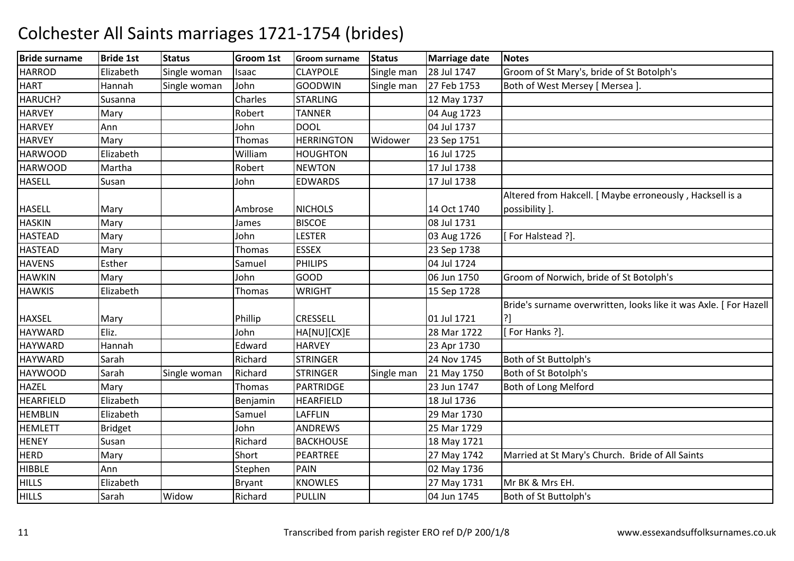| <b>Bride surname</b> | <b>Bride 1st</b> | <b>Status</b> | Groom 1st     | <b>Groom surname</b> | <b>Status</b> | Marriage date | <b>Notes</b>                                                      |
|----------------------|------------------|---------------|---------------|----------------------|---------------|---------------|-------------------------------------------------------------------|
| <b>HARROD</b>        | Elizabeth        | Single woman  | Isaac         | <b>CLAYPOLE</b>      | Single man    | 28 Jul 1747   | Groom of St Mary's, bride of St Botolph's                         |
| <b>HART</b>          | Hannah           | Single woman  | John          | <b>GOODWIN</b>       | Single man    | 27 Feb 1753   | Both of West Mersey [ Mersea ].                                   |
| HARUCH?              | Susanna          |               | Charles       | <b>STARLING</b>      |               | 12 May 1737   |                                                                   |
| <b>HARVEY</b>        | Mary             |               | Robert        | <b>TANNER</b>        |               | 04 Aug 1723   |                                                                   |
| <b>HARVEY</b>        | Ann              |               | John          | <b>DOOL</b>          |               | 04 Jul 1737   |                                                                   |
| <b>HARVEY</b>        | Mary             |               | Thomas        | <b>HERRINGTON</b>    | Widower       | 23 Sep 1751   |                                                                   |
| <b>HARWOOD</b>       | Elizabeth        |               | William       | <b>HOUGHTON</b>      |               | 16 Jul 1725   |                                                                   |
| <b>HARWOOD</b>       | Martha           |               | Robert        | <b>NEWTON</b>        |               | 17 Jul 1738   |                                                                   |
| <b>HASELL</b>        | Susan            |               | John          | <b>EDWARDS</b>       |               | 17 Jul 1738   |                                                                   |
|                      |                  |               |               |                      |               |               | Altered from Hakcell. [ Maybe erroneously, Hacksell is a          |
| <b>HASELL</b>        | Mary             |               | Ambrose       | <b>NICHOLS</b>       |               | 14 Oct 1740   | possibility ].                                                    |
| <b>HASKIN</b>        | Mary             |               | James         | <b>BISCOE</b>        |               | 08 Jul 1731   |                                                                   |
| <b>HASTEAD</b>       | Mary             |               | John          | <b>LESTER</b>        |               | 03 Aug 1726   | [For Halstead ?].                                                 |
| <b>HASTEAD</b>       | Mary             |               | Thomas        | <b>ESSEX</b>         |               | 23 Sep 1738   |                                                                   |
| <b>HAVENS</b>        | Esther           |               | Samuel        | <b>PHILIPS</b>       |               | 04 Jul 1724   |                                                                   |
| <b>HAWKIN</b>        | Mary             |               | John          | GOOD                 |               | 06 Jun 1750   | Groom of Norwich, bride of St Botolph's                           |
| <b>HAWKIS</b>        | Elizabeth        |               | Thomas        | <b>WRIGHT</b>        |               | 15 Sep 1728   |                                                                   |
|                      |                  |               |               |                      |               |               | Bride's surname overwritten, looks like it was Axle. [ For Hazell |
| <b>HAXSEL</b>        | Mary             |               | Phillip       | <b>CRESSELL</b>      |               | 01 Jul 1721   | ?]                                                                |
| <b>HAYWARD</b>       | Eliz.            |               | John          | HA[NU][CX]E          |               | 28 Mar 1722   | For Hanks ?].                                                     |
| <b>HAYWARD</b>       | Hannah           |               | Edward        | <b>HARVEY</b>        |               | 23 Apr 1730   |                                                                   |
| <b>HAYWARD</b>       | Sarah            |               | Richard       | <b>STRINGER</b>      |               | 24 Nov 1745   | Both of St Buttolph's                                             |
| <b>HAYWOOD</b>       | Sarah            | Single woman  | Richard       | <b>STRINGER</b>      | Single man    | 21 May 1750   | Both of St Botolph's                                              |
| <b>HAZEL</b>         | Mary             |               | Thomas        | PARTRIDGE            |               | 23 Jun 1747   | Both of Long Melford                                              |
| <b>HEARFIELD</b>     | Elizabeth        |               | Benjamin      | <b>HEARFIELD</b>     |               | 18 Jul 1736   |                                                                   |
| <b>HEMBLIN</b>       | Elizabeth        |               | Samuel        | <b>LAFFLIN</b>       |               | 29 Mar 1730   |                                                                   |
| <b>HEMLETT</b>       | <b>Bridget</b>   |               | John          | ANDREWS              |               | 25 Mar 1729   |                                                                   |
| <b>HENEY</b>         | Susan            |               | Richard       | <b>BACKHOUSE</b>     |               | 18 May 1721   |                                                                   |
| <b>HERD</b>          | Mary             |               | Short         | PEARTREE             |               | 27 May 1742   | Married at St Mary's Church. Bride of All Saints                  |
| <b>HIBBLE</b>        | Ann              |               | Stephen       | <b>PAIN</b>          |               | 02 May 1736   |                                                                   |
| <b>HILLS</b>         | Elizabeth        |               | <b>Bryant</b> | <b>KNOWLES</b>       |               | 27 May 1731   | Mr BK & Mrs EH.                                                   |
| <b>HILLS</b>         | Sarah            | Widow         | Richard       | PULLIN               |               | 04 Jun 1745   | Both of St Buttolph's                                             |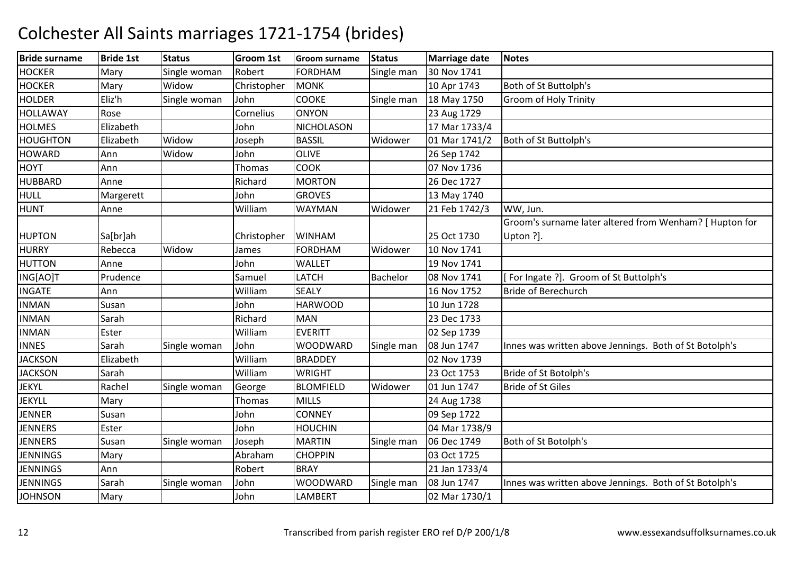| <b>Bride surname</b> | <b>Bride 1st</b> | <b>Status</b> | Groom 1st   | <b>Groom surname</b> | <b>Status</b> | <b>Marriage date</b> | <b>Notes</b>                                            |
|----------------------|------------------|---------------|-------------|----------------------|---------------|----------------------|---------------------------------------------------------|
| <b>HOCKER</b>        | Mary             | Single woman  | Robert      | <b>FORDHAM</b>       | Single man    | 30 Nov 1741          |                                                         |
| <b>HOCKER</b>        | Mary             | Widow         | Christopher | <b>MONK</b>          |               | 10 Apr 1743          | Both of St Buttolph's                                   |
| <b>HOLDER</b>        | Eliz'h           | Single woman  | John        | <b>COOKE</b>         | Single man    | 18 May 1750          | <b>Groom of Holy Trinity</b>                            |
| <b>HOLLAWAY</b>      | Rose             |               | Cornelius   | <b>ONYON</b>         |               | 23 Aug 1729          |                                                         |
| <b>HOLMES</b>        | Elizabeth        |               | John        | <b>NICHOLASON</b>    |               | 17 Mar 1733/4        |                                                         |
| <b>HOUGHTON</b>      | Elizabeth        | Widow         | Joseph      | <b>BASSIL</b>        | Widower       | 01 Mar 1741/2        | Both of St Buttolph's                                   |
| <b>HOWARD</b>        | Ann              | Widow         | John        | <b>OLIVE</b>         |               | 26 Sep 1742          |                                                         |
| <b>HOYT</b>          | Ann              |               | Thomas      | <b>COOK</b>          |               | 07 Nov 1736          |                                                         |
| <b>HUBBARD</b>       | Anne             |               | Richard     | <b>MORTON</b>        |               | 26 Dec 1727          |                                                         |
| <b>HULL</b>          | Margerett        |               | John        | <b>GROVES</b>        |               | 13 May 1740          |                                                         |
| <b>HUNT</b>          | Anne             |               | William     | <b>WAYMAN</b>        | Widower       | 21 Feb 1742/3        | WW, Jun.                                                |
|                      |                  |               |             |                      |               |                      | Groom's surname later altered from Wenham? [ Hupton for |
| <b>HUPTON</b>        | Sa[br]ah         |               | Christopher | <b>WINHAM</b>        |               | 25 Oct 1730          | Upton ?].                                               |
| <b>HURRY</b>         | Rebecca          | Widow         | James       | <b>FORDHAM</b>       | Widower       | 10 Nov 1741          |                                                         |
| <b>HUTTON</b>        | Anne             |               | John        | <b>WALLET</b>        |               | 19 Nov 1741          |                                                         |
| ING[AO]T             | Prudence         |               | Samuel      | <b>LATCH</b>         | Bachelor      | 08 Nov 1741          | For Ingate ?]. Groom of St Buttolph's                   |
| <b>INGATE</b>        | Ann              |               | William     | <b>SEALY</b>         |               | 16 Nov 1752          | <b>Bride of Berechurch</b>                              |
| <b>INMAN</b>         | Susan            |               | John        | <b>HARWOOD</b>       |               | 10 Jun 1728          |                                                         |
| <b>INMAN</b>         | Sarah            |               | Richard     | <b>MAN</b>           |               | 23 Dec 1733          |                                                         |
| <b>INMAN</b>         | Ester            |               | William     | <b>EVERITT</b>       |               | 02 Sep 1739          |                                                         |
| <b>INNES</b>         | Sarah            | Single woman  | John        | <b>WOODWARD</b>      | Single man    | 08 Jun 1747          | Innes was written above Jennings. Both of St Botolph's  |
| <b>JACKSON</b>       | Elizabeth        |               | William     | <b>BRADDEY</b>       |               | 02 Nov 1739          |                                                         |
| <b>JACKSON</b>       | Sarah            |               | William     | <b>WRIGHT</b>        |               | 23 Oct 1753          | Bride of St Botolph's                                   |
| <b>JEKYL</b>         | Rachel           | Single woman  | George      | <b>BLOMFIELD</b>     | Widower       | 01 Jun 1747          | <b>Bride of St Giles</b>                                |
| <b>JEKYLL</b>        | Mary             |               | Thomas      | <b>MILLS</b>         |               | 24 Aug 1738          |                                                         |
| <b>JENNER</b>        | Susan            |               | John        | <b>CONNEY</b>        |               | 09 Sep 1722          |                                                         |
| <b>JENNERS</b>       | Ester            |               | John        | <b>HOUCHIN</b>       |               | 04 Mar 1738/9        |                                                         |
| <b>JENNERS</b>       | Susan            | Single woman  | Joseph      | <b>MARTIN</b>        | Single man    | 06 Dec 1749          | Both of St Botolph's                                    |
| <b>JENNINGS</b>      | Mary             |               | Abraham     | <b>CHOPPIN</b>       |               | 03 Oct 1725          |                                                         |
| <b>JENNINGS</b>      | Ann              |               | Robert      | <b>BRAY</b>          |               | 21 Jan 1733/4        |                                                         |
| <b>JENNINGS</b>      | Sarah            | Single woman  | John        | WOODWARD             | Single man    | 08 Jun 1747          | Innes was written above Jennings. Both of St Botolph's  |
| <b>JOHNSON</b>       | Mary             |               | John        | <b>LAMBERT</b>       |               | 02 Mar 1730/1        |                                                         |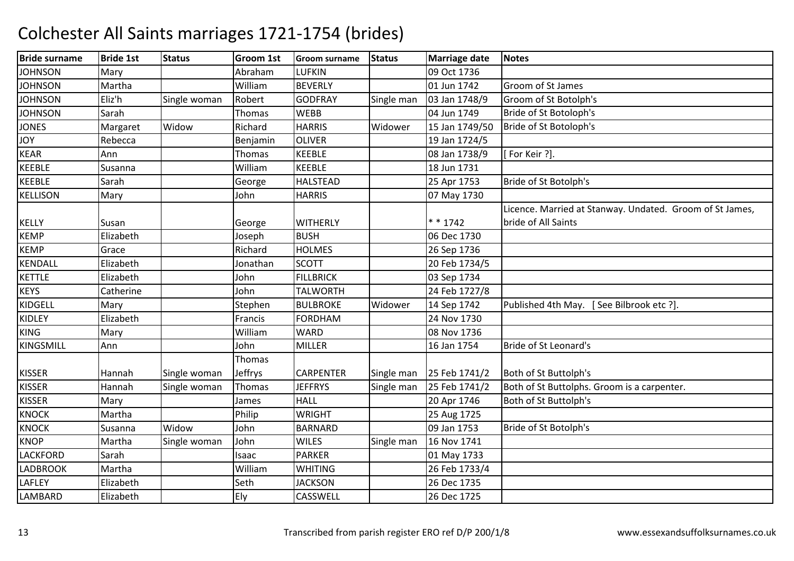| <b>Bride surname</b> | <b>Bride 1st</b> | <b>Status</b> | Groom 1st      | <b>Groom surname</b> | <b>Status</b> | <b>Marriage date</b> | <b>Notes</b>                                             |
|----------------------|------------------|---------------|----------------|----------------------|---------------|----------------------|----------------------------------------------------------|
| <b>JOHNSON</b>       | Mary             |               | Abraham        | <b>LUFKIN</b>        |               | 09 Oct 1736          |                                                          |
| <b>JOHNSON</b>       | Martha           |               | William        | <b>BEVERLY</b>       |               | 01 Jun 1742          | Groom of St James                                        |
| <b>JOHNSON</b>       | Eliz'h           | Single woman  | Robert         | <b>GODFRAY</b>       | Single man    | 03 Jan 1748/9        | Groom of St Botolph's                                    |
| <b>JOHNSON</b>       | Sarah            |               | <b>Thomas</b>  | <b>WEBB</b>          |               | 04 Jun 1749          | Bride of St Botoloph's                                   |
| <b>JONES</b>         | Margaret         | Widow         | Richard        | <b>HARRIS</b>        | Widower       | 15 Jan 1749/50       | Bride of St Botoloph's                                   |
| <b>JOY</b>           | Rebecca          |               | Benjamin       | <b>OLIVER</b>        |               | 19 Jan 1724/5        |                                                          |
| <b>KEAR</b>          | Ann              |               | Thomas         | <b>KEEBLE</b>        |               | 08 Jan 1738/9        | [For Keir ?].                                            |
| <b>KEEBLE</b>        | Susanna          |               | William        | <b>KEEBLE</b>        |               | 18 Jun 1731          |                                                          |
| <b>KEEBLE</b>        | Sarah            |               | George         | <b>HALSTEAD</b>      |               | 25 Apr 1753          | Bride of St Botolph's                                    |
| <b>KELLISON</b>      | Mary             |               | John           | <b>HARRIS</b>        |               | 07 May 1730          |                                                          |
|                      |                  |               |                |                      |               |                      | Licence. Married at Stanway. Undated. Groom of St James, |
| <b>KELLY</b>         | Susan            |               | George         | <b>WITHERLY</b>      |               | $* * 1742$           | bride of All Saints                                      |
| <b>KEMP</b>          | Elizabeth        |               | Joseph         | <b>BUSH</b>          |               | 06 Dec 1730          |                                                          |
| <b>KEMP</b>          | Grace            |               | Richard        | <b>HOLMES</b>        |               | 26 Sep 1736          |                                                          |
| <b>KENDALL</b>       | Elizabeth        |               | Jonathan       | <b>SCOTT</b>         |               | 20 Feb 1734/5        |                                                          |
| <b>KETTLE</b>        | Elizabeth        |               | John           | <b>FILLBRICK</b>     |               | 03 Sep 1734          |                                                          |
| <b>KEYS</b>          | Catherine        |               | John           | <b>TALWORTH</b>      |               | 24 Feb 1727/8        |                                                          |
| <b>KIDGELL</b>       | Mary             |               | Stephen        | <b>BULBROKE</b>      | Widower       | 14 Sep 1742          | Published 4th May. [See Bilbrook etc ?].                 |
| <b>KIDLEY</b>        | Elizabeth        |               | Francis        | <b>FORDHAM</b>       |               | 24 Nov 1730          |                                                          |
| <b>KING</b>          | Mary             |               | William        | <b>WARD</b>          |               | 08 Nov 1736          |                                                          |
| <b>KINGSMILL</b>     | Ann              |               | John           | <b>MILLER</b>        |               | 16 Jan 1754          | Bride of St Leonard's                                    |
|                      |                  |               | Thomas         |                      |               |                      |                                                          |
| <b>KISSER</b>        | Hannah           | Single woman  | <b>Jeffrys</b> | <b>CARPENTER</b>     | Single man    | 25 Feb 1741/2        | Both of St Buttolph's                                    |
| <b>KISSER</b>        | Hannah           | Single woman  | Thomas         | <b>JEFFRYS</b>       | Single man    | 25 Feb 1741/2        | Both of St Buttolphs. Groom is a carpenter.              |
| <b>KISSER</b>        | Mary             |               | James          | <b>HALL</b>          |               | 20 Apr 1746          | Both of St Buttolph's                                    |
| <b>KNOCK</b>         | Martha           |               | Philip         | <b>WRIGHT</b>        |               | 25 Aug 1725          |                                                          |
| <b>KNOCK</b>         | Susanna          | Widow         | John           | <b>BARNARD</b>       |               | 09 Jan 1753          | Bride of St Botolph's                                    |
| <b>KNOP</b>          | Martha           | Single woman  | John           | <b>WILES</b>         | Single man    | 16 Nov 1741          |                                                          |
| <b>LACKFORD</b>      | Sarah            |               | <b>Isaac</b>   | <b>PARKER</b>        |               | 01 May 1733          |                                                          |
| <b>LADBROOK</b>      | Martha           |               | William        | <b>WHITING</b>       |               | 26 Feb 1733/4        |                                                          |
| <b>LAFLEY</b>        | Elizabeth        |               | Seth           | <b>JACKSON</b>       |               | 26 Dec 1735          |                                                          |
| LAMBARD              | Elizabeth        |               | Ely            | CASSWELL             |               | 26 Dec 1725          |                                                          |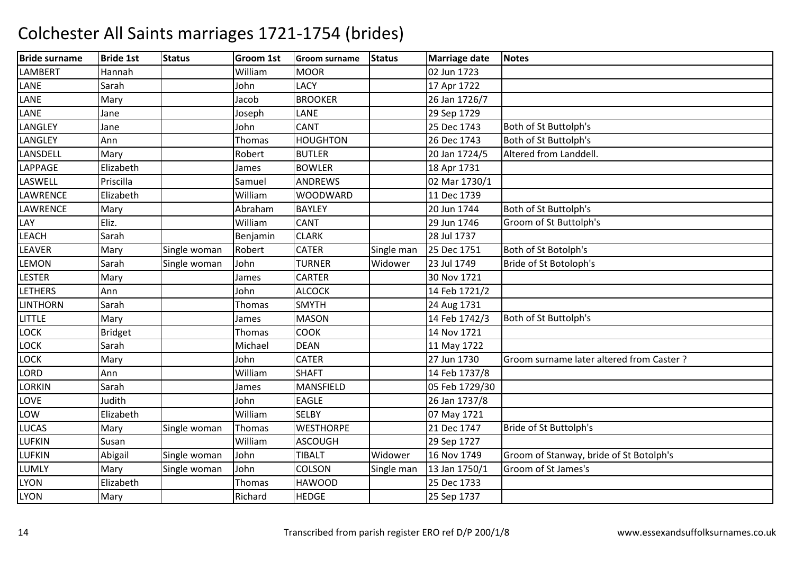| <b>Bride surname</b> | <b>Bride 1st</b> | <b>Status</b> | <b>Groom 1st</b> | <b>Groom surname</b> | <b>Status</b> | <b>Marriage date</b> | Notes                                    |
|----------------------|------------------|---------------|------------------|----------------------|---------------|----------------------|------------------------------------------|
| <b>LAMBERT</b>       | Hannah           |               | William          | <b>MOOR</b>          |               | 02 Jun 1723          |                                          |
| LANE                 | Sarah            |               | John             | <b>LACY</b>          |               | 17 Apr 1722          |                                          |
| LANE                 | Mary             |               | Jacob            | <b>BROOKER</b>       |               | 26 Jan 1726/7        |                                          |
| LANE                 | Jane             |               | Joseph           | LANE                 |               | 29 Sep 1729          |                                          |
| LANGLEY              | Jane             |               | John             | <b>CANT</b>          |               | 25 Dec 1743          | Both of St Buttolph's                    |
| LANGLEY              | Ann              |               | Thomas           | <b>HOUGHTON</b>      |               | 26 Dec 1743          | Both of St Buttolph's                    |
| LANSDELL             | Mary             |               | Robert           | <b>BUTLER</b>        |               | 20 Jan 1724/5        | Altered from Landdell.                   |
| LAPPAGE              | Elizabeth        |               | James            | <b>BOWLER</b>        |               | 18 Apr 1731          |                                          |
| LASWELL              | Priscilla        |               | Samuel           | <b>ANDREWS</b>       |               | 02 Mar 1730/1        |                                          |
| <b>LAWRENCE</b>      | Elizabeth        |               | William          | <b>WOODWARD</b>      |               | 11 Dec 1739          |                                          |
| <b>LAWRENCE</b>      | Mary             |               | Abraham          | <b>BAYLEY</b>        |               | 20 Jun 1744          | Both of St Buttolph's                    |
| LAY                  | Eliz.            |               | William          | <b>CANT</b>          |               | 29 Jun 1746          | Groom of St Buttolph's                   |
| LEACH                | Sarah            |               | Benjamin         | <b>CLARK</b>         |               | 28 Jul 1737          |                                          |
| <b>LEAVER</b>        | Mary             | Single woman  | Robert           | <b>CATER</b>         | Single man    | 25 Dec 1751          | Both of St Botolph's                     |
| <b>LEMON</b>         | Sarah            | Single woman  | John             | <b>TURNER</b>        | Widower       | 23 Jul 1749          | Bride of St Botoloph's                   |
| <b>LESTER</b>        | Mary             |               | James            | CARTER               |               | 30 Nov 1721          |                                          |
| <b>LETHERS</b>       | Ann              |               | John             | <b>ALCOCK</b>        |               | 14 Feb 1721/2        |                                          |
| <b>LINTHORN</b>      | Sarah            |               | Thomas           | <b>SMYTH</b>         |               | 24 Aug 1731          |                                          |
| LITTLE               | Mary             |               | James            | <b>MASON</b>         |               | 14 Feb 1742/3        | Both of St Buttolph's                    |
| <b>LOCK</b>          | <b>Bridget</b>   |               | <b>Thomas</b>    | <b>COOK</b>          |               | 14 Nov 1721          |                                          |
| LOCK                 | Sarah            |               | Michael          | <b>DEAN</b>          |               | 11 May 1722          |                                          |
| <b>LOCK</b>          | Mary             |               | John             | <b>CATER</b>         |               | 27 Jun 1730          | Groom surname later altered from Caster? |
| <b>LORD</b>          | Ann              |               | William          | <b>SHAFT</b>         |               | 14 Feb 1737/8        |                                          |
| <b>LORKIN</b>        | Sarah            |               | James            | MANSFIELD            |               | 05 Feb 1729/30       |                                          |
| LOVE                 | Judith           |               | John             | <b>EAGLE</b>         |               | 26 Jan 1737/8        |                                          |
| LOW                  | Elizabeth        |               | William          | <b>SELBY</b>         |               | 07 May 1721          |                                          |
| <b>LUCAS</b>         | Mary             | Single woman  | Thomas           | <b>WESTHORPE</b>     |               | 21 Dec 1747          | Bride of St Buttolph's                   |
| <b>LUFKIN</b>        | Susan            |               | William          | <b>ASCOUGH</b>       |               | 29 Sep 1727          |                                          |
| <b>LUFKIN</b>        | Abigail          | Single woman  | John             | <b>TIBALT</b>        | Widower       | 16 Nov 1749          | Groom of Stanway, bride of St Botolph's  |
| LUMLY                | Mary             | Single woman  | John             | <b>COLSON</b>        | Single man    | 13 Jan 1750/1        | Groom of St James's                      |
| <b>LYON</b>          | Elizabeth        |               | <b>Thomas</b>    | <b>HAWOOD</b>        |               | 25 Dec 1733          |                                          |
| <b>LYON</b>          | Mary             |               | Richard          | <b>HEDGE</b>         |               | 25 Sep 1737          |                                          |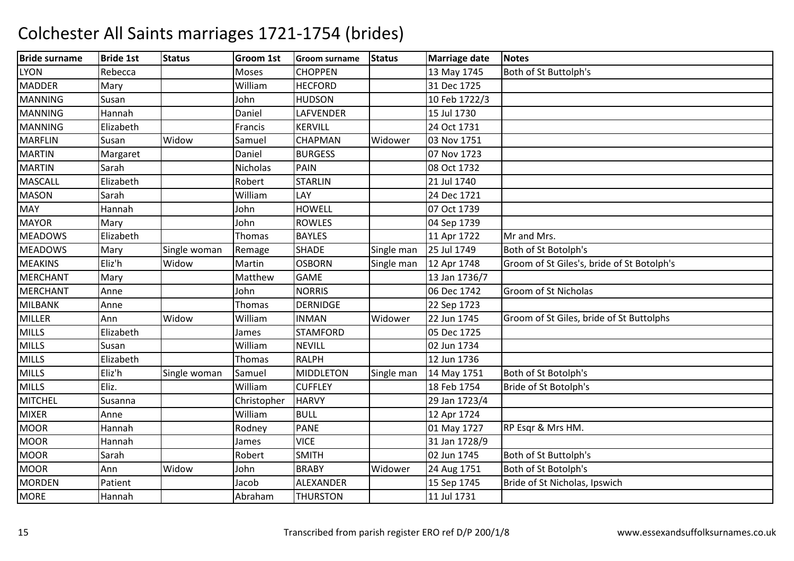| <b>Bride surname</b> | <b>Bride 1st</b> | <b>Status</b> | <b>Groom 1st</b> | <b>Groom surname</b> | <b>Status</b> | <b>Marriage date</b> | <b>Notes</b>                               |
|----------------------|------------------|---------------|------------------|----------------------|---------------|----------------------|--------------------------------------------|
| <b>LYON</b>          | Rebecca          |               | Moses            | <b>CHOPPEN</b>       |               | 13 May 1745          | Both of St Buttolph's                      |
| <b>MADDER</b>        | Mary             |               | William          | <b>HECFORD</b>       |               | 31 Dec 1725          |                                            |
| <b>MANNING</b>       | Susan            |               | John             | <b>HUDSON</b>        |               | 10 Feb 1722/3        |                                            |
| <b>MANNING</b>       | Hannah           |               | Daniel           | LAFVENDER            |               | 15 Jul 1730          |                                            |
| <b>MANNING</b>       | Elizabeth        |               | Francis          | <b>KERVILL</b>       |               | 24 Oct 1731          |                                            |
| <b>MARFLIN</b>       | Susan            | Widow         | Samuel           | <b>CHAPMAN</b>       | Widower       | 03 Nov 1751          |                                            |
| <b>MARTIN</b>        | Margaret         |               | Daniel           | <b>BURGESS</b>       |               | 07 Nov 1723          |                                            |
| <b>MARTIN</b>        | Sarah            |               | Nicholas         | PAIN                 |               | 08 Oct 1732          |                                            |
| <b>MASCALL</b>       | Elizabeth        |               | Robert           | <b>STARLIN</b>       |               | 21 Jul 1740          |                                            |
| <b>MASON</b>         | Sarah            |               | William          | LAY                  |               | 24 Dec 1721          |                                            |
| <b>MAY</b>           | Hannah           |               | John             | <b>HOWELL</b>        |               | 07 Oct 1739          |                                            |
| <b>MAYOR</b>         | Mary             |               | John             | <b>ROWLES</b>        |               | 04 Sep 1739          |                                            |
| <b>MEADOWS</b>       | Elizabeth        |               | Thomas           | <b>BAYLES</b>        |               | 11 Apr 1722          | Mr and Mrs.                                |
| <b>MEADOWS</b>       | Mary             | Single woman  | Remage           | <b>SHADE</b>         | Single man    | 25 Jul 1749          | Both of St Botolph's                       |
| <b>MEAKINS</b>       | Eliz'h           | Widow         | Martin           | <b>OSBORN</b>        | Single man    | 12 Apr 1748          | Groom of St Giles's, bride of St Botolph's |
| <b>MERCHANT</b>      | Mary             |               | Matthew          | <b>GAME</b>          |               | 13 Jan 1736/7        |                                            |
| <b>MERCHANT</b>      | Anne             |               | John             | <b>NORRIS</b>        |               | 06 Dec 1742          | Groom of St Nicholas                       |
| <b>MILBANK</b>       | Anne             |               | Thomas           | <b>DERNIDGE</b>      |               | 22 Sep 1723          |                                            |
| <b>MILLER</b>        | Ann              | Widow         | William          | <b>INMAN</b>         | Widower       | 22 Jun 1745          | Groom of St Giles, bride of St Buttolphs   |
| <b>MILLS</b>         | Elizabeth        |               | James            | <b>STAMFORD</b>      |               | 05 Dec 1725          |                                            |
| <b>MILLS</b>         | Susan            |               | William          | <b>NEVILL</b>        |               | 02 Jun 1734          |                                            |
| <b>MILLS</b>         | Elizabeth        |               | Thomas           | <b>RALPH</b>         |               | 12 Jun 1736          |                                            |
| <b>MILLS</b>         | Eliz'h           | Single woman  | Samuel           | <b>MIDDLETON</b>     | Single man    | 14 May 1751          | Both of St Botolph's                       |
| <b>MILLS</b>         | Eliz.            |               | William          | <b>CUFFLEY</b>       |               | 18 Feb 1754          | Bride of St Botolph's                      |
| <b>MITCHEL</b>       | Susanna          |               | Christopher      | <b>HARVY</b>         |               | 29 Jan 1723/4        |                                            |
| <b>MIXER</b>         | Anne             |               | William          | <b>BULL</b>          |               | 12 Apr 1724          |                                            |
| <b>MOOR</b>          | Hannah           |               | Rodney           | <b>PANE</b>          |               | 01 May 1727          | RP Esqr & Mrs HM.                          |
| <b>MOOR</b>          | Hannah           |               | James            | <b>VICE</b>          |               | 31 Jan 1728/9        |                                            |
| <b>MOOR</b>          | Sarah            |               | Robert           | <b>SMITH</b>         |               | 02 Jun 1745          | Both of St Buttolph's                      |
| <b>MOOR</b>          | Ann              | Widow         | John             | <b>BRABY</b>         | Widower       | 24 Aug 1751          | Both of St Botolph's                       |
| <b>MORDEN</b>        | Patient          |               | Jacob            | ALEXANDER            |               | 15 Sep 1745          | Bride of St Nicholas, Ipswich              |
| <b>MORE</b>          | Hannah           |               | Abraham          | <b>THURSTON</b>      |               | 11 Jul 1731          |                                            |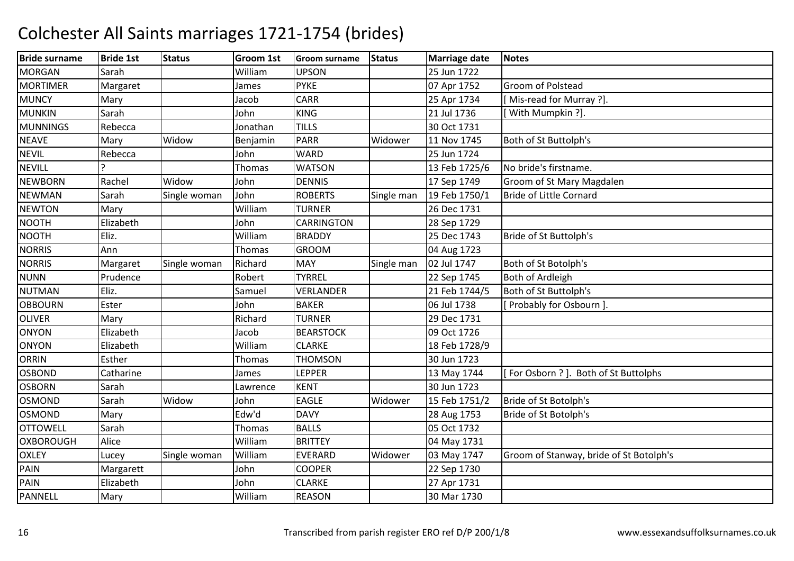| <b>Bride surname</b> | <b>Bride 1st</b> | <b>Status</b> | Groom 1st     | <b>Groom surname</b> | <b>Status</b> | <b>Marriage date</b> | <b>Notes</b>                            |
|----------------------|------------------|---------------|---------------|----------------------|---------------|----------------------|-----------------------------------------|
| <b>MORGAN</b>        | Sarah            |               | William       | <b>UPSON</b>         |               | 25 Jun 1722          |                                         |
| <b>MORTIMER</b>      | Margaret         |               | James         | <b>PYKE</b>          |               | 07 Apr 1752          | Groom of Polstead                       |
| <b>MUNCY</b>         | Mary             |               | Jacob         | <b>CARR</b>          |               | 25 Apr 1734          | [Mis-read for Murray ?].                |
| <b>MUNKIN</b>        | Sarah            |               | John          | <b>KING</b>          |               | 21 Jul 1736          | [With Mumpkin ?].                       |
| <b>MUNNINGS</b>      | Rebecca          |               | Jonathan      | <b>TILLS</b>         |               | 30 Oct 1731          |                                         |
| <b>NEAVE</b>         | Mary             | Widow         | Benjamin      | <b>PARR</b>          | Widower       | 11 Nov 1745          | Both of St Buttolph's                   |
| <b>NEVIL</b>         | Rebecca          |               | John          | <b>WARD</b>          |               | 25 Jun 1724          |                                         |
| <b>NEVILL</b>        |                  |               | Thomas        | <b>WATSON</b>        |               | 13 Feb 1725/6        | No bride's firstname.                   |
| <b>NEWBORN</b>       | Rachel           | Widow         | John          | <b>DENNIS</b>        |               | 17 Sep 1749          | Groom of St Mary Magdalen               |
| <b>NEWMAN</b>        | Sarah            | Single woman  | John          | <b>ROBERTS</b>       | Single man    | 19 Feb 1750/1        | Bride of Little Cornard                 |
| <b>NEWTON</b>        | Mary             |               | William       | <b>TURNER</b>        |               | 26 Dec 1731          |                                         |
| <b>NOOTH</b>         | Elizabeth        |               | John          | <b>CARRINGTON</b>    |               | 28 Sep 1729          |                                         |
| <b>NOOTH</b>         | Eliz.            |               | William       | <b>BRADDY</b>        |               | 25 Dec 1743          | Bride of St Buttolph's                  |
| <b>NORRIS</b>        | Ann              |               | Thomas        | <b>GROOM</b>         |               | 04 Aug 1723          |                                         |
| <b>NORRIS</b>        | Margaret         | Single woman  | Richard       | <b>MAY</b>           | Single man    | 02 Jul 1747          | Both of St Botolph's                    |
| <b>NUNN</b>          | Prudence         |               | Robert        | <b>TYRREL</b>        |               | 22 Sep 1745          | Both of Ardleigh                        |
| <b>NUTMAN</b>        | Eliz.            |               | Samuel        | <b>VERLANDER</b>     |               | 21 Feb 1744/5        | Both of St Buttolph's                   |
| <b>OBBOURN</b>       | Ester            |               | John          | <b>BAKER</b>         |               | 06 Jul 1738          | [ Probably for Osbourn ].               |
| <b>OLIVER</b>        | Mary             |               | Richard       | <b>TURNER</b>        |               | 29 Dec 1731          |                                         |
| ONYON                | Elizabeth        |               | Jacob         | <b>BEARSTOCK</b>     |               | 09 Oct 1726          |                                         |
| <b>ONYON</b>         | Elizabeth        |               | William       | <b>CLARKE</b>        |               | 18 Feb 1728/9        |                                         |
| <b>ORRIN</b>         | Esther           |               | Thomas        | <b>THOMSON</b>       |               | 30 Jun 1723          |                                         |
| <b>OSBOND</b>        | Catharine        |               | James         | LEPPER               |               | 13 May 1744          | [For Osborn ?]. Both of St Buttolphs    |
| <b>OSBORN</b>        | Sarah            |               | Lawrence      | <b>KENT</b>          |               | 30 Jun 1723          |                                         |
| <b>OSMOND</b>        | Sarah            | Widow         | John          | <b>EAGLE</b>         | Widower       | 15 Feb 1751/2        | Bride of St Botolph's                   |
| OSMOND               | Mary             |               | Edw'd         | <b>DAVY</b>          |               | 28 Aug 1753          | Bride of St Botolph's                   |
| <b>OTTOWELL</b>      | Sarah            |               | <b>Thomas</b> | <b>BALLS</b>         |               | 05 Oct 1732          |                                         |
| OXBOROUGH            | Alice            |               | William       | <b>BRITTEY</b>       |               | 04 May 1731          |                                         |
| <b>OXLEY</b>         | Lucey            | Single woman  | William       | <b>EVERARD</b>       | Widower       | 03 May 1747          | Groom of Stanway, bride of St Botolph's |
| PAIN                 | Margarett        |               | John          | <b>COOPER</b>        |               | 22 Sep 1730          |                                         |
| PAIN                 | Elizabeth        |               | John          | <b>CLARKE</b>        |               | 27 Apr 1731          |                                         |
| PANNELL              | Mary             |               | William       | <b>REASON</b>        |               | 30 Mar 1730          |                                         |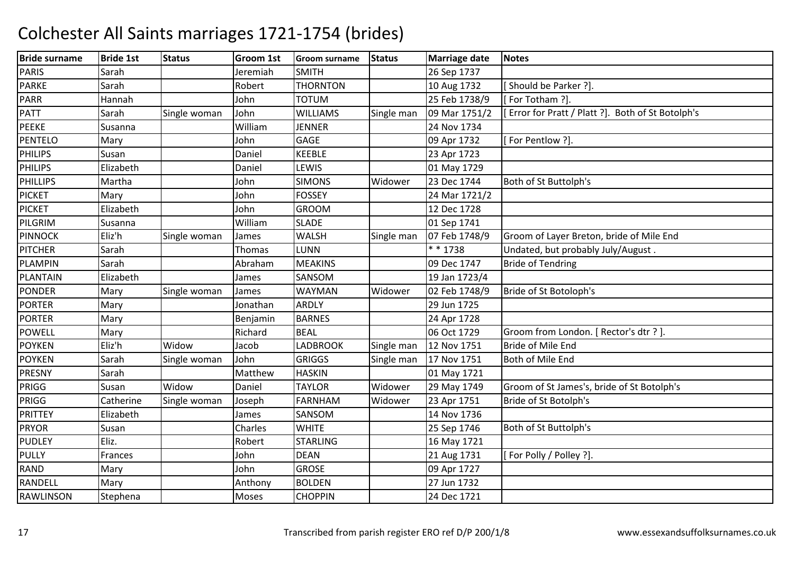| <b>Bride surname</b> | <b>Bride 1st</b> | <b>Status</b> | Groom 1st     | <b>Groom surname</b> | <b>Status</b> | <b>Marriage date</b> | <b>Notes</b>                                     |
|----------------------|------------------|---------------|---------------|----------------------|---------------|----------------------|--------------------------------------------------|
| <b>PARIS</b>         | Sarah            |               | Jeremiah      | <b>SMITH</b>         |               | 26 Sep 1737          |                                                  |
| <b>PARKE</b>         | Sarah            |               | Robert        | <b>THORNTON</b>      |               | 10 Aug 1732          | Should be Parker ?].                             |
| <b>PARR</b>          | Hannah           |               | John          | <b>TOTUM</b>         |               | 25 Feb 1738/9        | [For Totham ?].                                  |
| <b>PATT</b>          | Sarah            | Single woman  | John          | <b>WILLIAMS</b>      | Single man    | 09 Mar 1751/2        | Error for Pratt / Platt ?]. Both of St Botolph's |
| <b>PEEKE</b>         | Susanna          |               | William       | <b>JENNER</b>        |               | 24 Nov 1734          |                                                  |
| <b>PENTELO</b>       | Mary             |               | John          | <b>GAGE</b>          |               | 09 Apr 1732          | [For Pentlow ?].                                 |
| <b>PHILIPS</b>       | Susan            |               | Daniel        | <b>KEEBLE</b>        |               | 23 Apr 1723          |                                                  |
| <b>PHILIPS</b>       | Elizabeth        |               | Daniel        | LEWIS                |               | 01 May 1729          |                                                  |
| <b>PHILLIPS</b>      | Martha           |               | John          | <b>SIMONS</b>        | Widower       | 23 Dec 1744          | Both of St Buttolph's                            |
| <b>PICKET</b>        | Mary             |               | John          | <b>FOSSEY</b>        |               | 24 Mar 1721/2        |                                                  |
| <b>PICKET</b>        | Elizabeth        |               | John          | <b>GROOM</b>         |               | 12 Dec 1728          |                                                  |
| PILGRIM              | Susanna          |               | William       | <b>SLADE</b>         |               | 01 Sep 1741          |                                                  |
| <b>PINNOCK</b>       | Eliz'h           | Single woman  | James         | <b>WALSH</b>         | Single man    | 07 Feb 1748/9        | Groom of Layer Breton, bride of Mile End         |
| <b>PITCHER</b>       | Sarah            |               | <b>Thomas</b> | LUNN                 |               | * * 1738             | Undated, but probably July/August.               |
| <b>PLAMPIN</b>       | Sarah            |               | Abraham       | <b>MEAKINS</b>       |               | 09 Dec 1747          | <b>Bride of Tendring</b>                         |
| <b>PLANTAIN</b>      | Elizabeth        |               | James         | SANSOM               |               | 19 Jan 1723/4        |                                                  |
| PONDER               | Mary             | Single woman  | James         | <b>WAYMAN</b>        | Widower       | 02 Feb 1748/9        | Bride of St Botoloph's                           |
| <b>PORTER</b>        | Mary             |               | Jonathan      | ARDLY                |               | 29 Jun 1725          |                                                  |
| <b>PORTER</b>        | Mary             |               | Benjamin      | <b>BARNES</b>        |               | 24 Apr 1728          |                                                  |
| <b>POWELL</b>        | Mary             |               | Richard       | <b>BEAL</b>          |               | 06 Oct 1729          | Groom from London. [ Rector's dtr ? ].           |
| <b>POYKEN</b>        | Eliz'h           | Widow         | Jacob         | <b>LADBROOK</b>      | Single man    | 12 Nov 1751          | Bride of Mile End                                |
| <b>POYKEN</b>        | Sarah            | Single woman  | John          | <b>GRIGGS</b>        | Single man    | 17 Nov 1751          | Both of Mile End                                 |
| <b>PRESNY</b>        | Sarah            |               | Matthew       | <b>HASKIN</b>        |               | 01 May 1721          |                                                  |
| PRIGG                | Susan            | Widow         | Daniel        | <b>TAYLOR</b>        | Widower       | 29 May 1749          | Groom of St James's, bride of St Botolph's       |
| PRIGG                | Catherine        | Single woman  | Joseph        | <b>FARNHAM</b>       | Widower       | 23 Apr 1751          | Bride of St Botolph's                            |
| <b>PRITTEY</b>       | Elizabeth        |               | James         | SANSOM               |               | 14 Nov 1736          |                                                  |
| <b>PRYOR</b>         | Susan            |               | Charles       | <b>WHITE</b>         |               | 25 Sep 1746          | Both of St Buttolph's                            |
| <b>PUDLEY</b>        | Eliz.            |               | Robert        | <b>STARLING</b>      |               | 16 May 1721          |                                                  |
| <b>PULLY</b>         | Frances          |               | John          | <b>DEAN</b>          |               | 21 Aug 1731          | [For Polly / Polley ?].                          |
| <b>RAND</b>          | Mary             |               | John          | <b>GROSE</b>         |               | 09 Apr 1727          |                                                  |
| <b>RANDELL</b>       | Mary             |               | Anthony       | <b>BOLDEN</b>        |               | 27 Jun 1732          |                                                  |
| <b>RAWLINSON</b>     | Stephena         |               | Moses         | <b>CHOPPIN</b>       |               | 24 Dec 1721          |                                                  |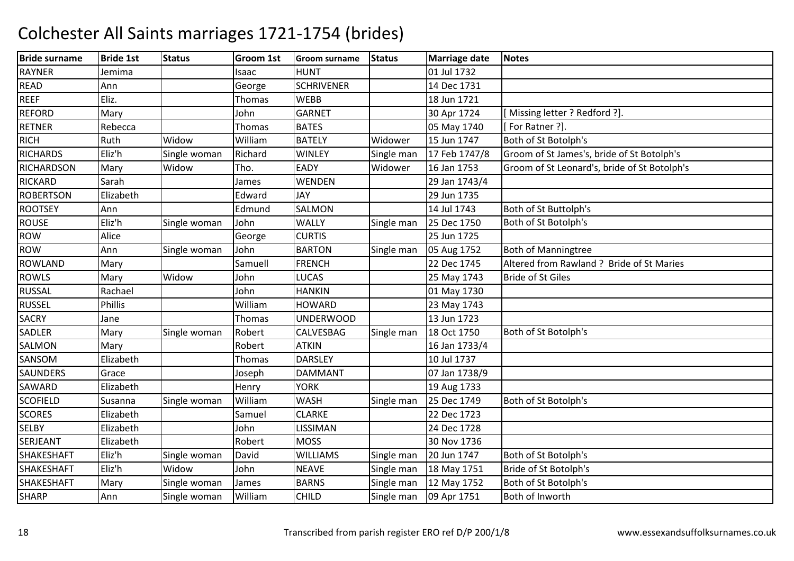| <b>Bride surname</b> | <b>Bride 1st</b> | <b>Status</b> | <b>Groom 1st</b> | <b>Groom surname</b> | <b>Status</b> | <b>Marriage date</b> | Notes                                        |
|----------------------|------------------|---------------|------------------|----------------------|---------------|----------------------|----------------------------------------------|
| <b>RAYNER</b>        | Jemima           |               | Isaac            | <b>HUNT</b>          |               | 01 Jul 1732          |                                              |
| <b>READ</b>          | Ann              |               | George           | <b>SCHRIVENER</b>    |               | 14 Dec 1731          |                                              |
| <b>REEF</b>          | Eliz.            |               | <b>Thomas</b>    | <b>WEBB</b>          |               | 18 Jun 1721          |                                              |
| <b>REFORD</b>        | Mary             |               | John             | <b>GARNET</b>        |               | 30 Apr 1724          | [Missing letter ? Redford ?].                |
| <b>RETNER</b>        | Rebecca          |               | <b>Thomas</b>    | <b>BATES</b>         |               | 05 May 1740          | [For Ratner ?].                              |
| <b>RICH</b>          | Ruth             | Widow         | William          | <b>BATELY</b>        | Widower       | 15 Jun 1747          | Both of St Botolph's                         |
| <b>RICHARDS</b>      | Eliz'h           | Single woman  | Richard          | <b>WINLEY</b>        | Single man    | 17 Feb 1747/8        | Groom of St James's, bride of St Botolph's   |
| <b>RICHARDSON</b>    | Mary             | Widow         | Tho.             | EADY                 | Widower       | 16 Jan 1753          | Groom of St Leonard's, bride of St Botolph's |
| <b>RICKARD</b>       | Sarah            |               | James            | WENDEN               |               | 29 Jan 1743/4        |                                              |
| <b>ROBERTSON</b>     | Elizabeth        |               | Edward           | JAY                  |               | 29 Jun 1735          |                                              |
| <b>ROOTSEY</b>       | Ann              |               | Edmund           | <b>SALMON</b>        |               | 14 Jul 1743          | Both of St Buttolph's                        |
| <b>ROUSE</b>         | Eliz'h           | Single woman  | John             | <b>WALLY</b>         | Single man    | 25 Dec 1750          | Both of St Botolph's                         |
| <b>ROW</b>           | Alice            |               | George           | <b>CURTIS</b>        |               | 25 Jun 1725          |                                              |
| <b>ROW</b>           | Ann              | Single woman  | John             | <b>BARTON</b>        | Single man    | 05 Aug 1752          | <b>Both of Manningtree</b>                   |
| <b>ROWLAND</b>       | Mary             |               | Samuell          | <b>FRENCH</b>        |               | 22 Dec 1745          | Altered from Rawland ? Bride of St Maries    |
| <b>ROWLS</b>         | Mary             | Widow         | John             | LUCAS                |               | 25 May 1743          | <b>Bride of St Giles</b>                     |
| <b>RUSSAL</b>        | Rachael          |               | John             | <b>HANKIN</b>        |               | 01 May 1730          |                                              |
| <b>RUSSEL</b>        | Phillis          |               | William          | <b>HOWARD</b>        |               | 23 May 1743          |                                              |
| <b>SACRY</b>         | Jane             |               | Thomas           | <b>UNDERWOOD</b>     |               | 13 Jun 1723          |                                              |
| <b>SADLER</b>        | Mary             | Single woman  | Robert           | CALVESBAG            | Single man    | 18 Oct 1750          | Both of St Botolph's                         |
| SALMON               | Mary             |               | Robert           | <b>ATKIN</b>         |               | 16 Jan 1733/4        |                                              |
| SANSOM               | Elizabeth        |               | Thomas           | <b>DARSLEY</b>       |               | 10 Jul 1737          |                                              |
| <b>SAUNDERS</b>      | Grace            |               | Joseph           | <b>DAMMANT</b>       |               | 07 Jan 1738/9        |                                              |
| SAWARD               | Elizabeth        |               | Henry            | <b>YORK</b>          |               | 19 Aug 1733          |                                              |
| <b>SCOFIELD</b>      | Susanna          | Single woman  | William          | <b>WASH</b>          | Single man    | 25 Dec 1749          | Both of St Botolph's                         |
| <b>SCORES</b>        | Elizabeth        |               | Samuel           | <b>CLARKE</b>        |               | 22 Dec 1723          |                                              |
| <b>SELBY</b>         | Elizabeth        |               | John             | LISSIMAN             |               | 24 Dec 1728          |                                              |
| <b>SERJEANT</b>      | Elizabeth        |               | Robert           | <b>MOSS</b>          |               | 30 Nov 1736          |                                              |
| <b>SHAKESHAFT</b>    | Eliz'h           | Single woman  | David            | <b>WILLIAMS</b>      | Single man    | 20 Jun 1747          | Both of St Botolph's                         |
| <b>SHAKESHAFT</b>    | Eliz'h           | Widow         | John             | <b>NEAVE</b>         | Single man    | 18 May 1751          | Bride of St Botolph's                        |
| <b>SHAKESHAFT</b>    | Mary             | Single woman  | James            | <b>BARNS</b>         | Single man    | 12 May 1752          | Both of St Botolph's                         |
| <b>SHARP</b>         | Ann              | Single woman  | William          | <b>CHILD</b>         | Single man    | 09 Apr 1751          | Both of Inworth                              |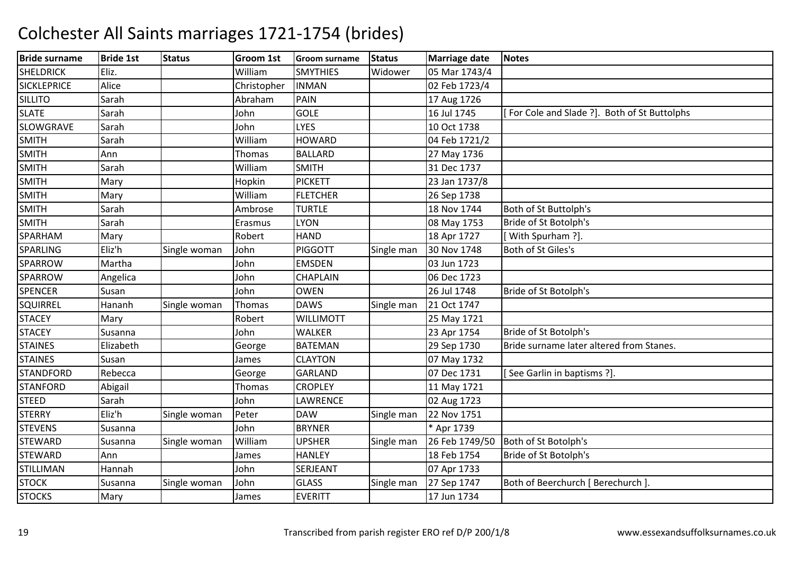| <b>Bride surname</b> | <b>Bride 1st</b> | <b>Status</b> | <b>Groom 1st</b> | <b>Groom surname</b> | <b>Status</b> | <b>Marriage date</b> | <b>Notes</b>                                |
|----------------------|------------------|---------------|------------------|----------------------|---------------|----------------------|---------------------------------------------|
| <b>SHELDRICK</b>     | Eliz.            |               | William          | <b>SMYTHIES</b>      | Widower       | 05 Mar 1743/4        |                                             |
| <b>SICKLEPRICE</b>   | Alice            |               | Christopher      | <b>INMAN</b>         |               | 02 Feb 1723/4        |                                             |
| <b>SILLITO</b>       | Sarah            |               | Abraham          | <b>PAIN</b>          |               | 17 Aug 1726          |                                             |
| <b>SLATE</b>         | Sarah            |               | John             | <b>GOLE</b>          |               | 16 Jul 1745          | For Cole and Slade ?]. Both of St Buttolphs |
| <b>SLOWGRAVE</b>     | Sarah            |               | John             | <b>LYES</b>          |               | 10 Oct 1738          |                                             |
| <b>SMITH</b>         | Sarah            |               | William          | <b>HOWARD</b>        |               | 04 Feb 1721/2        |                                             |
| <b>SMITH</b>         | Ann              |               | Thomas           | <b>BALLARD</b>       |               | 27 May 1736          |                                             |
| <b>SMITH</b>         | Sarah            |               | William          | <b>SMITH</b>         |               | 31 Dec 1737          |                                             |
| <b>SMITH</b>         | Mary             |               | Hopkin           | <b>PICKETT</b>       |               | 23 Jan 1737/8        |                                             |
| <b>SMITH</b>         | Mary             |               | William          | <b>FLETCHER</b>      |               | 26 Sep 1738          |                                             |
| <b>SMITH</b>         | Sarah            |               | Ambrose          | <b>TURTLE</b>        |               | 18 Nov 1744          | Both of St Buttolph's                       |
| <b>SMITH</b>         | Sarah            |               | Erasmus          | <b>LYON</b>          |               | 08 May 1753          | Bride of St Botolph's                       |
| SPARHAM              | Mary             |               | Robert           | <b>HAND</b>          |               | 18 Apr 1727          | [With Spurham ?].                           |
| <b>SPARLING</b>      | Eliz'h           | Single woman  | John             | <b>PIGGOTT</b>       | Single man    | 30 Nov 1748          | Both of St Giles's                          |
| SPARROW              | Martha           |               | John             | <b>EMSDEN</b>        |               | 03 Jun 1723          |                                             |
| SPARROW              | Angelica         |               | John             | <b>CHAPLAIN</b>      |               | 06 Dec 1723          |                                             |
| <b>SPENCER</b>       | Susan            |               | John             | <b>OWEN</b>          |               | 26 Jul 1748          | Bride of St Botolph's                       |
| <b>SQUIRREL</b>      | Hananh           | Single woman  | <b>Thomas</b>    | <b>DAWS</b>          | Single man    | 21 Oct 1747          |                                             |
| <b>STACEY</b>        | Mary             |               | Robert           | <b>WILLIMOTT</b>     |               | 25 May 1721          |                                             |
| <b>STACEY</b>        | Susanna          |               | John             | <b>WALKER</b>        |               | 23 Apr 1754          | Bride of St Botolph's                       |
| <b>STAINES</b>       | Elizabeth        |               | George           | <b>BATEMAN</b>       |               | 29 Sep 1730          | Bride surname later altered from Stanes.    |
| <b>STAINES</b>       | Susan            |               | James            | <b>CLAYTON</b>       |               | 07 May 1732          |                                             |
| <b>STANDFORD</b>     | Rebecca          |               | George           | <b>GARLAND</b>       |               | 07 Dec 1731          | [See Garlin in baptisms ?].                 |
| <b>STANFORD</b>      | Abigail          |               | Thomas           | <b>CROPLEY</b>       |               | 11 May 1721          |                                             |
| <b>STEED</b>         | Sarah            |               | John             | LAWRENCE             |               | 02 Aug 1723          |                                             |
| <b>STERRY</b>        | Eliz'h           | Single woman  | Peter            | <b>DAW</b>           | Single man    | 22 Nov 1751          |                                             |
| <b>STEVENS</b>       | Susanna          |               | John             | <b>BRYNER</b>        |               | * Apr 1739           |                                             |
| <b>STEWARD</b>       | Susanna          | Single woman  | William          | <b>UPSHER</b>        | Single man    | 26 Feb 1749/50       | Both of St Botolph's                        |
| <b>STEWARD</b>       | Ann              |               | James            | <b>HANLEY</b>        |               | 18 Feb 1754          | Bride of St Botolph's                       |
| <b>STILLIMAN</b>     | Hannah           |               | John             | SERJEANT             |               | 07 Apr 1733          |                                             |
| <b>STOCK</b>         | Susanna          | Single woman  | John             | <b>GLASS</b>         | Single man    | 27 Sep 1747          | Both of Beerchurch [ Berechurch ].          |
| <b>STOCKS</b>        | Mary             |               | James            | <b>EVERITT</b>       |               | 17 Jun 1734          |                                             |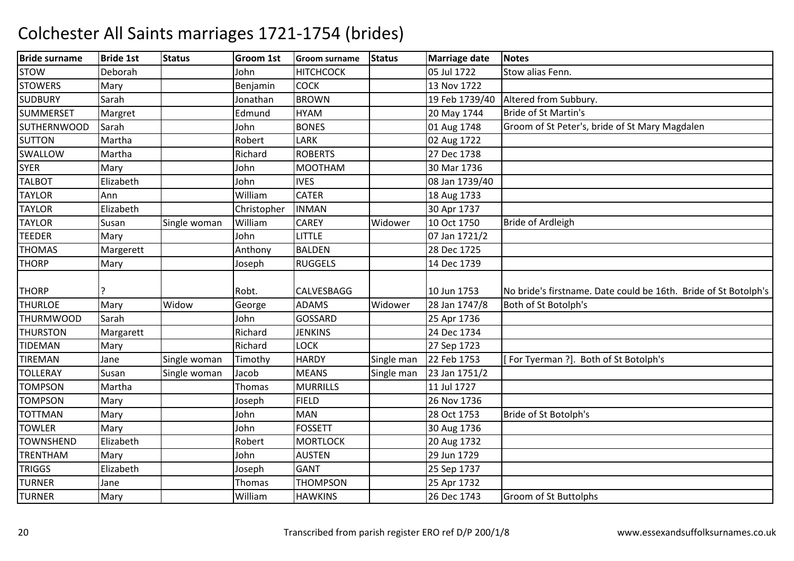| <b>Bride surname</b> | <b>Bride 1st</b> | <b>Status</b> | Groom 1st   | <b>Groom surname</b> | <b>Status</b> | Marriage date  | <b>Notes</b>                                                    |
|----------------------|------------------|---------------|-------------|----------------------|---------------|----------------|-----------------------------------------------------------------|
| <b>STOW</b>          | Deborah          |               | John        | <b>HITCHCOCK</b>     |               | 05 Jul 1722    | Stow alias Fenn.                                                |
| <b>STOWERS</b>       | Mary             |               | Benjamin    | <b>COCK</b>          |               | 13 Nov 1722    |                                                                 |
| <b>SUDBURY</b>       | Sarah            |               | Jonathan    | <b>BROWN</b>         |               | 19 Feb 1739/40 | Altered from Subbury.                                           |
| <b>SUMMERSET</b>     | Margret          |               | Edmund      | <b>HYAM</b>          |               | 20 May 1744    | <b>Bride of St Martin's</b>                                     |
| <b>SUTHERNWOOD</b>   | Sarah            |               | John        | <b>BONES</b>         |               | 01 Aug 1748    | Groom of St Peter's, bride of St Mary Magdalen                  |
| <b>SUTTON</b>        | Martha           |               | Robert      | LARK                 |               | 02 Aug 1722    |                                                                 |
| SWALLOW              | Martha           |               | Richard     | <b>ROBERTS</b>       |               | 27 Dec 1738    |                                                                 |
| <b>SYER</b>          | Mary             |               | John        | <b>MOOTHAM</b>       |               | 30 Mar 1736    |                                                                 |
| <b>TALBOT</b>        | Elizabeth        |               | John        | <b>IVES</b>          |               | 08 Jan 1739/40 |                                                                 |
| <b>TAYLOR</b>        | Ann              |               | William     | <b>CATER</b>         |               | 18 Aug 1733    |                                                                 |
| <b>TAYLOR</b>        | Elizabeth        |               | Christopher | <b>INMAN</b>         |               | 30 Apr 1737    |                                                                 |
| <b>TAYLOR</b>        | Susan            | Single woman  | William     | <b>CAREY</b>         | Widower       | 10 Oct 1750    | <b>Bride of Ardleigh</b>                                        |
| <b>TEEDER</b>        | Mary             |               | John        | <b>LITTLE</b>        |               | 07 Jan 1721/2  |                                                                 |
| <b>THOMAS</b>        | Margerett        |               | Anthony     | <b>BALDEN</b>        |               | 28 Dec 1725    |                                                                 |
| <b>THORP</b>         | Mary             |               | Joseph      | <b>RUGGELS</b>       |               | 14 Dec 1739    |                                                                 |
| <b>THORP</b>         |                  |               | Robt.       | <b>CALVESBAGG</b>    |               | 10 Jun 1753    | No bride's firstname. Date could be 16th. Bride of St Botolph's |
| <b>THURLOE</b>       | Mary             | Widow         | George      | <b>ADAMS</b>         | Widower       | 28 Jan 1747/8  | Both of St Botolph's                                            |
| <b>THURMWOOD</b>     | Sarah            |               | John        | <b>GOSSARD</b>       |               | 25 Apr 1736    |                                                                 |
| <b>THURSTON</b>      | Margarett        |               | Richard     | <b>JENKINS</b>       |               | 24 Dec 1734    |                                                                 |
| <b>TIDEMAN</b>       | Mary             |               | Richard     | LOCK                 |               | 27 Sep 1723    |                                                                 |
| <b>TIREMAN</b>       | Jane             | Single woman  | Timothy     | <b>HARDY</b>         | Single man    | 22 Feb 1753    | [For Tyerman ?]. Both of St Botolph's                           |
| <b>TOLLERAY</b>      | Susan            | Single woman  | Jacob       | <b>MEANS</b>         | Single man    | 23 Jan 1751/2  |                                                                 |
| <b>TOMPSON</b>       | Martha           |               | Thomas      | <b>MURRILLS</b>      |               | 11 Jul 1727    |                                                                 |
| <b>TOMPSON</b>       | Mary             |               | Joseph      | <b>FIELD</b>         |               | 26 Nov 1736    |                                                                 |
| <b>TOTTMAN</b>       | Mary             |               | John        | <b>MAN</b>           |               | 28 Oct 1753    | Bride of St Botolph's                                           |
| <b>TOWLER</b>        | Mary             |               | John        | <b>FOSSETT</b>       |               | 30 Aug 1736    |                                                                 |
| <b>TOWNSHEND</b>     | Elizabeth        |               | Robert      | <b>MORTLOCK</b>      |               | 20 Aug 1732    |                                                                 |
| <b>TRENTHAM</b>      | Mary             |               | John        | <b>AUSTEN</b>        |               | 29 Jun 1729    |                                                                 |
| <b>TRIGGS</b>        | Elizabeth        |               | Joseph      | <b>GANT</b>          |               | 25 Sep 1737    |                                                                 |
| <b>TURNER</b>        | Jane             |               | Thomas      | <b>THOMPSON</b>      |               | 25 Apr 1732    |                                                                 |
| <b>TURNER</b>        | Mary             |               | William     | <b>HAWKINS</b>       |               | 26 Dec 1743    | <b>Groom of St Buttolphs</b>                                    |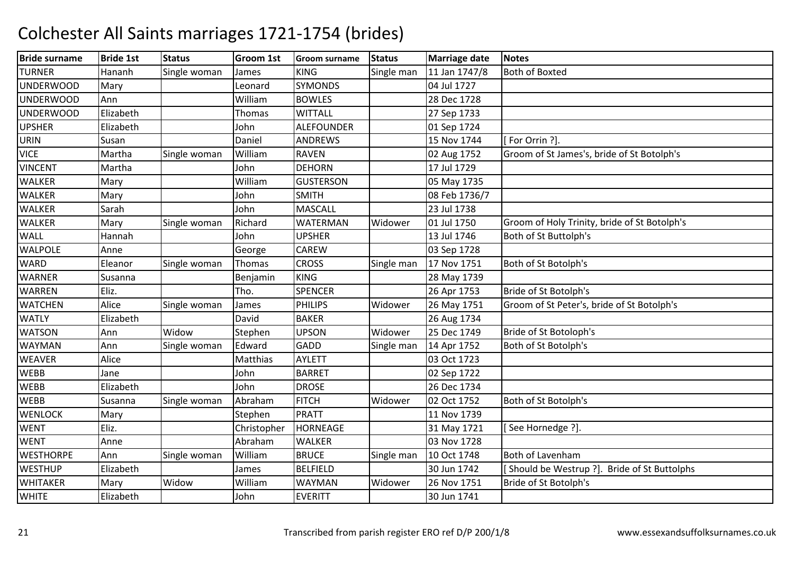| <b>Bride surname</b> | <b>Bride 1st</b> | <b>Status</b> | <b>Groom 1st</b> | <b>Groom surname</b> | <b>Status</b> | <b>Marriage date</b> | <b>Notes</b>                                 |
|----------------------|------------------|---------------|------------------|----------------------|---------------|----------------------|----------------------------------------------|
| <b>TURNER</b>        | Hananh           | Single woman  | James            | <b>KING</b>          | Single man    | 11 Jan 1747/8        | <b>Both of Boxted</b>                        |
| <b>UNDERWOOD</b>     | Mary             |               | Leonard          | <b>SYMONDS</b>       |               | 04 Jul 1727          |                                              |
| <b>UNDERWOOD</b>     | Ann              |               | William          | <b>BOWLES</b>        |               | 28 Dec 1728          |                                              |
| <b>UNDERWOOD</b>     | Elizabeth        |               | Thomas           | <b>WITTALL</b>       |               | 27 Sep 1733          |                                              |
| <b>UPSHER</b>        | Elizabeth        |               | John             | <b>ALEFOUNDER</b>    |               | 01 Sep 1724          |                                              |
| <b>URIN</b>          | Susan            |               | Daniel           | <b>ANDREWS</b>       |               | 15 Nov 1744          | [For Orrin ?]                                |
| <b>VICE</b>          | Martha           | Single woman  | William          | <b>RAVEN</b>         |               | 02 Aug 1752          | Groom of St James's, bride of St Botolph's   |
| <b>VINCENT</b>       | Martha           |               | John             | <b>DEHORN</b>        |               | 17 Jul 1729          |                                              |
| <b>WALKER</b>        | Mary             |               | William          | <b>GUSTERSON</b>     |               | 05 May 1735          |                                              |
| <b>WALKER</b>        | Mary             |               | John             | <b>SMITH</b>         |               | 08 Feb 1736/7        |                                              |
| <b>WALKER</b>        | Sarah            |               | John             | MASCALL              |               | 23 Jul 1738          |                                              |
| <b>WALKER</b>        | Mary             | Single woman  | Richard          | <b>WATERMAN</b>      | Widower       | 01 Jul 1750          | Groom of Holy Trinity, bride of St Botolph's |
| <b>WALL</b>          | Hannah           |               | John             | <b>UPSHER</b>        |               | 13 Jul 1746          | Both of St Buttolph's                        |
| <b>WALPOLE</b>       | Anne             |               | George           | <b>CAREW</b>         |               | 03 Sep 1728          |                                              |
| <b>WARD</b>          | Eleanor          | Single woman  | Thomas           | <b>CROSS</b>         | Single man    | 17 Nov 1751          | Both of St Botolph's                         |
| <b>WARNER</b>        | Susanna          |               | Benjamin         | <b>KING</b>          |               | 28 May 1739          |                                              |
| <b>WARREN</b>        | Eliz.            |               | Tho.             | <b>SPENCER</b>       |               | 26 Apr 1753          | Bride of St Botolph's                        |
| <b>WATCHEN</b>       | Alice            | Single woman  | James            | <b>PHILIPS</b>       | Widower       | 26 May 1751          | Groom of St Peter's, bride of St Botolph's   |
| <b>WATLY</b>         | Elizabeth        |               | David            | <b>BAKER</b>         |               | 26 Aug 1734          |                                              |
| <b>WATSON</b>        | Ann              | Widow         | Stephen          | <b>UPSON</b>         | Widower       | 25 Dec 1749          | Bride of St Botoloph's                       |
| <b>WAYMAN</b>        | Ann              | Single woman  | Edward           | GADD                 | Single man    | 14 Apr 1752          | Both of St Botolph's                         |
| <b>WEAVER</b>        | Alice            |               | Matthias         | <b>AYLETT</b>        |               | 03 Oct 1723          |                                              |
| <b>WEBB</b>          | Jane             |               | John             | <b>BARRET</b>        |               | 02 Sep 1722          |                                              |
| <b>WEBB</b>          | Elizabeth        |               | John             | <b>DROSE</b>         |               | 26 Dec 1734          |                                              |
| <b>WEBB</b>          | Susanna          | Single woman  | Abraham          | <b>FITCH</b>         | Widower       | 02 Oct 1752          | Both of St Botolph's                         |
| <b>WENLOCK</b>       | Mary             |               | Stephen          | <b>PRATT</b>         |               | 11 Nov 1739          |                                              |
| <b>WENT</b>          | Eliz.            |               | Christopher      | <b>HORNEAGE</b>      |               | 31 May 1721          | [See Hornedge ?].                            |
| <b>WENT</b>          | Anne             |               | Abraham          | <b>WALKER</b>        |               | 03 Nov 1728          |                                              |
| <b>WESTHORPE</b>     | Ann              | Single woman  | William          | <b>BRUCE</b>         | Single man    | 10 Oct 1748          | <b>Both of Lavenham</b>                      |
| <b>WESTHUP</b>       | Elizabeth        |               | James            | <b>BELFIELD</b>      |               | 30 Jun 1742          | [Should be Westrup ?]. Bride of St Buttolphs |
| <b>WHITAKER</b>      | Mary             | Widow         | William          | WAYMAN               | Widower       | 26 Nov 1751          | Bride of St Botolph's                        |
| <b>WHITE</b>         | Elizabeth        |               | John             | <b>EVERITT</b>       |               | 30 Jun 1741          |                                              |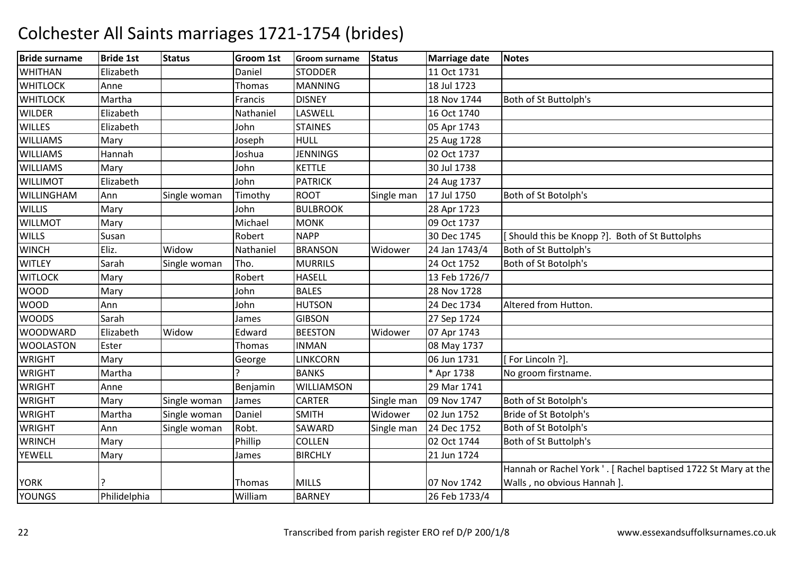| <b>Bride surname</b> | <b>Bride 1st</b> | <b>Status</b> | <b>Groom 1st</b> | <b>Groom surname</b> | <b>Status</b> | Marriage date | <b>Notes</b>                                                   |
|----------------------|------------------|---------------|------------------|----------------------|---------------|---------------|----------------------------------------------------------------|
| <b>WHITHAN</b>       | Elizabeth        |               | Daniel           | <b>STODDER</b>       |               | 11 Oct 1731   |                                                                |
| <b>WHITLOCK</b>      | Anne             |               | Thomas           | <b>MANNING</b>       |               | 18 Jul 1723   |                                                                |
| <b>WHITLOCK</b>      | Martha           |               | Francis          | <b>DISNEY</b>        |               | 18 Nov 1744   | Both of St Buttolph's                                          |
| <b>WILDER</b>        | Elizabeth        |               | Nathaniel        | LASWELL              |               | 16 Oct 1740   |                                                                |
| <b>WILLES</b>        | Elizabeth        |               | John             | <b>STAINES</b>       |               | 05 Apr 1743   |                                                                |
| <b>WILLIAMS</b>      | Mary             |               | Joseph           | <b>HULL</b>          |               | 25 Aug 1728   |                                                                |
| <b>WILLIAMS</b>      | Hannah           |               | Joshua           | <b>JENNINGS</b>      |               | 02 Oct 1737   |                                                                |
| <b>WILLIAMS</b>      | Mary             |               | John             | <b>KETTLE</b>        |               | 30 Jul 1738   |                                                                |
| <b>WILLIMOT</b>      | Elizabeth        |               | John             | <b>PATRICK</b>       |               | 24 Aug 1737   |                                                                |
| WILLINGHAM           | Ann              | Single woman  | Timothy          | <b>ROOT</b>          | Single man    | 17 Jul 1750   | Both of St Botolph's                                           |
| <b>WILLIS</b>        | Mary             |               | John             | <b>BULBROOK</b>      |               | 28 Apr 1723   |                                                                |
| <b>WILLMOT</b>       | Mary             |               | Michael          | <b>MONK</b>          |               | 09 Oct 1737   |                                                                |
| <b>WILLS</b>         | Susan            |               | Robert           | <b>NAPP</b>          |               | 30 Dec 1745   | Should this be Knopp ?]. Both of St Buttolphs                  |
| <b>WINCH</b>         | Eliz.            | Widow         | Nathaniel        | <b>BRANSON</b>       | Widower       | 24 Jan 1743/4 | Both of St Buttolph's                                          |
| <b>WITLEY</b>        | Sarah            | Single woman  | Tho.             | <b>MURRILS</b>       |               | 24 Oct 1752   | Both of St Botolph's                                           |
| <b>WITLOCK</b>       | Mary             |               | Robert           | <b>HASELL</b>        |               | 13 Feb 1726/7 |                                                                |
| <b>WOOD</b>          | Mary             |               | John             | <b>BALES</b>         |               | 28 Nov 1728   |                                                                |
| <b>WOOD</b>          | Ann              |               | John             | <b>HUTSON</b>        |               | 24 Dec 1734   | Altered from Hutton.                                           |
| <b>WOODS</b>         | Sarah            |               | James            | <b>GIBSON</b>        |               | 27 Sep 1724   |                                                                |
| <b>WOODWARD</b>      | Elizabeth        | Widow         | Edward           | <b>BEESTON</b>       | Widower       | 07 Apr 1743   |                                                                |
| <b>WOOLASTON</b>     | Ester            |               | Thomas           | <b>INMAN</b>         |               | 08 May 1737   |                                                                |
| <b>WRIGHT</b>        | Mary             |               | George           | <b>LINKCORN</b>      |               | 06 Jun 1731   | [For Lincoln ?].                                               |
| <b>WRIGHT</b>        | Martha           |               |                  | <b>BANKS</b>         |               | * Apr 1738    | No groom firstname.                                            |
| <b>WRIGHT</b>        | Anne             |               | Benjamin         | WILLIAMSON           |               | 29 Mar 1741   |                                                                |
| <b>WRIGHT</b>        | Mary             | Single woman  | James            | <b>CARTER</b>        | Single man    | 09 Nov 1747   | Both of St Botolph's                                           |
| <b>WRIGHT</b>        | Martha           | Single woman  | Daniel           | <b>SMITH</b>         | Widower       | 02 Jun 1752   | Bride of St Botolph's                                          |
| <b>WRIGHT</b>        | Ann              | Single woman  | Robt.            | SAWARD               | Single man    | 24 Dec 1752   | Both of St Botolph's                                           |
| <b>WRINCH</b>        | Mary             |               | Phillip          | <b>COLLEN</b>        |               | 02 Oct 1744   | Both of St Buttolph's                                          |
| <b>YEWELL</b>        | Mary             |               | James            | <b>BIRCHLY</b>       |               | 21 Jun 1724   |                                                                |
|                      |                  |               |                  |                      |               |               | Hannah or Rachel York '. [ Rachel baptised 1722 St Mary at the |
| <b>YORK</b>          | ς                |               | <b>Thomas</b>    | <b>MILLS</b>         |               | 07 Nov 1742   | Walls, no obvious Hannah ].                                    |
| <b>YOUNGS</b>        | Philidelphia     |               | William          | <b>BARNEY</b>        |               | 26 Feb 1733/4 |                                                                |